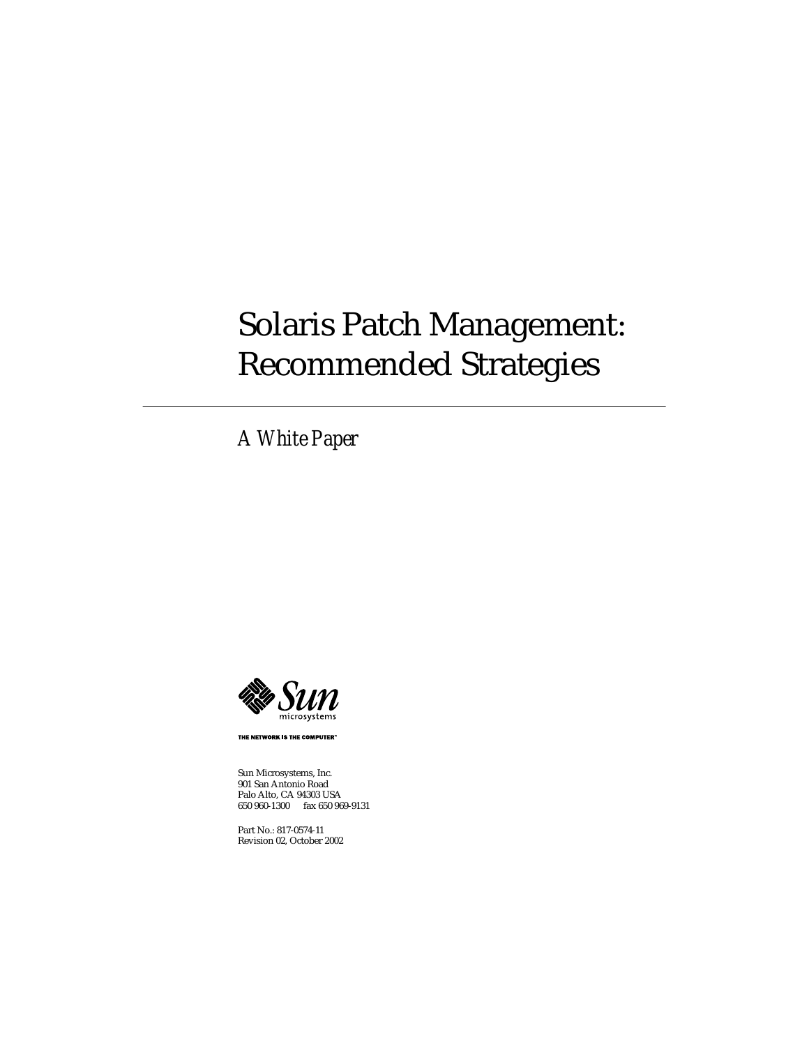# Solaris Patch Management: Recommended Strategies

*A White Paper*



THE NETWORK IS THE COMPUTER"

901 San Antonio Road Palo Alto, CA 94303 USA 650 960-1300 fax 650 969-9131 Sun Microsystems, Inc.

Part No.: 817-0574-11 Revision 02, October 2002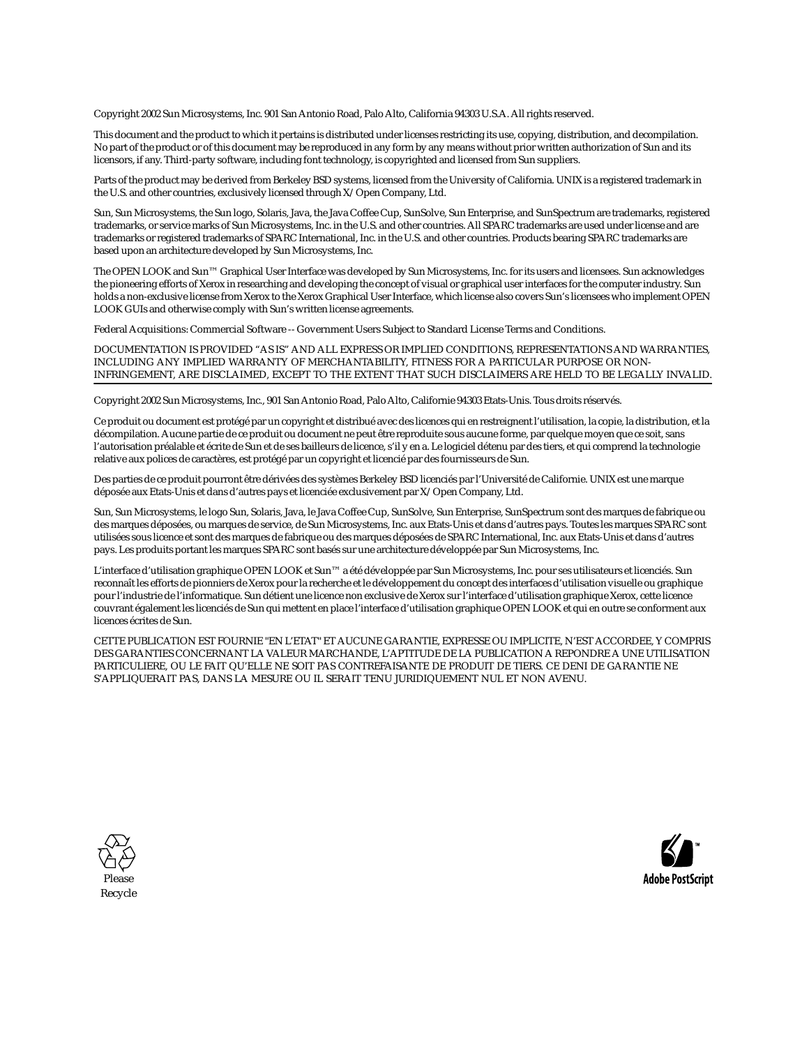Copyright 2002 Sun Microsystems, Inc. 901 San Antonio Road, Palo Alto, California 94303 U.S.A. All rights reserved.

This document and the product to which it pertains is distributed under licenses restricting its use, copying, distribution, and decompilation. No part of the product or of this document may be reproduced in any form by any means without prior written authorization of Sun and its licensors, if any. Third-party software, including font technology, is copyrighted and licensed from Sun suppliers.

Parts of the product may be derived from Berkeley BSD systems, licensed from the University of California. UNIX is a registered trademark in the U.S. and other countries, exclusively licensed through X/Open Company, Ltd.

Sun, Sun Microsystems, the Sun logo, Solaris, Java, the Java Coffee Cup, SunSolve, Sun Enterprise, and SunSpectrum are trademarks, registered trademarks, or service marks of Sun Microsystems, Inc. in the U.S. and other countries. All SPARC trademarks are used under license and are trademarks or registered trademarks of SPARC International, Inc. in the U.S. and other countries. Products bearing SPARC trademarks are based upon an architecture developed by Sun Microsystems, Inc.

The OPEN LOOK and Sun™ Graphical User Interface was developed by Sun Microsystems, Inc. for its users and licensees. Sun acknowledges the pioneering efforts of Xerox in researching and developing the concept of visual or graphical user interfaces for the computer industry. Sun holds a non-exclusive license from Xerox to the Xerox Graphical User Interface, which license also covers Sun's licensees who implement OPEN LOOK GUIs and otherwise comply with Sun's written license agreements.

Federal Acquisitions: Commercial Software -- Government Users Subject to Standard License Terms and Conditions.

DOCUMENTATION IS PROVIDED "AS IS" AND ALL EXPRESS OR IMPLIED CONDITIONS, REPRESENTATIONS AND WARRANTIES, INCLUDING ANY IMPLIED WARRANTY OF MERCHANTABILITY, FITNESS FOR A PARTICULAR PURPOSE OR NON-INFRINGEMENT, ARE DISCLAIMED, EXCEPT TO THE EXTENT THAT SUCH DISCLAIMERS ARE HELD TO BE LEGALLY INVALID.

Copyright 2002 Sun Microsystems, Inc., 901 San Antonio Road, Palo Alto, Californie 94303 Etats-Unis. Tous droits réservés.

Ce produit ou document est protégé par un copyright et distribué avec des licences qui en restreignent l'utilisation, la copie, la distribution, et la décompilation. Aucune partie de ce produit ou document ne peut être reproduite sous aucune forme, par quelque moyen que ce soit, sans l'autorisation préalable et écrite de Sun et de ses bailleurs de licence, s'il y en a. Le logiciel détenu par des tiers, et qui comprend la technologie relative aux polices de caractères, est protégé par un copyright et licencié par des fournisseurs de Sun.

Des parties de ce produit pourront être dérivées des systèmes Berkeley BSD licenciés par l'Université de Californie. UNIX est une marque déposée aux Etats-Unis et dans d'autres pays et licenciée exclusivement par X/Open Company, Ltd.

Sun, Sun Microsystems, le logo Sun, Solaris, Java, le Java Coffee Cup, SunSolve, Sun Enterprise, SunSpectrum sont des marques de fabrique ou des marques déposées, ou marques de service, de Sun Microsystems, Inc. aux Etats-Unis et dans d'autres pays. Toutes les marques SPARC sont utilisées sous licence et sont des marques de fabrique ou des marques déposées de SPARC International, Inc. aux Etats-Unis et dans d'autres pays. Les produits portant les marques SPARC sont basés sur une architecture développée par Sun Microsystems, Inc.

L'interface d'utilisation graphique OPEN LOOK et Sun™ a été développée par Sun Microsystems, Inc. pour ses utilisateurs et licenciés. Sun reconnaît les efforts de pionniers de Xerox pour la recherche et le développement du concept des interfaces d'utilisation visuelle ou graphique pour l'industrie de l'informatique. Sun détient une licence non exclusive de Xerox sur l'interface d'utilisation graphique Xerox, cette licence couvrant également les licenciés de Sun qui mettent en place l'interface d'utilisation graphique OPEN LOOK et qui en outre se conforment aux licences écrites de Sun.

CETTE PUBLICATION EST FOURNIE "EN L'ETAT" ET AUCUNE GARANTIE, EXPRESSE OU IMPLICITE, N'EST ACCORDEE, Y COMPRIS DES GARANTIES CONCERNANT LA VALEUR MARCHANDE, L'APTITUDE DE LA PUBLICATION A REPONDRE A UNE UTILISATION PARTICULIERE, OU LE FAIT QU'ELLE NE SOIT PAS CONTREFAISANTE DE PRODUIT DE TIERS. CE DENI DE GARANTIE NE S'APPLIQUERAIT PAS, DANS LA MESURE OU IL SERAIT TENU JURIDIQUEMENT NUL ET NON AVENU.



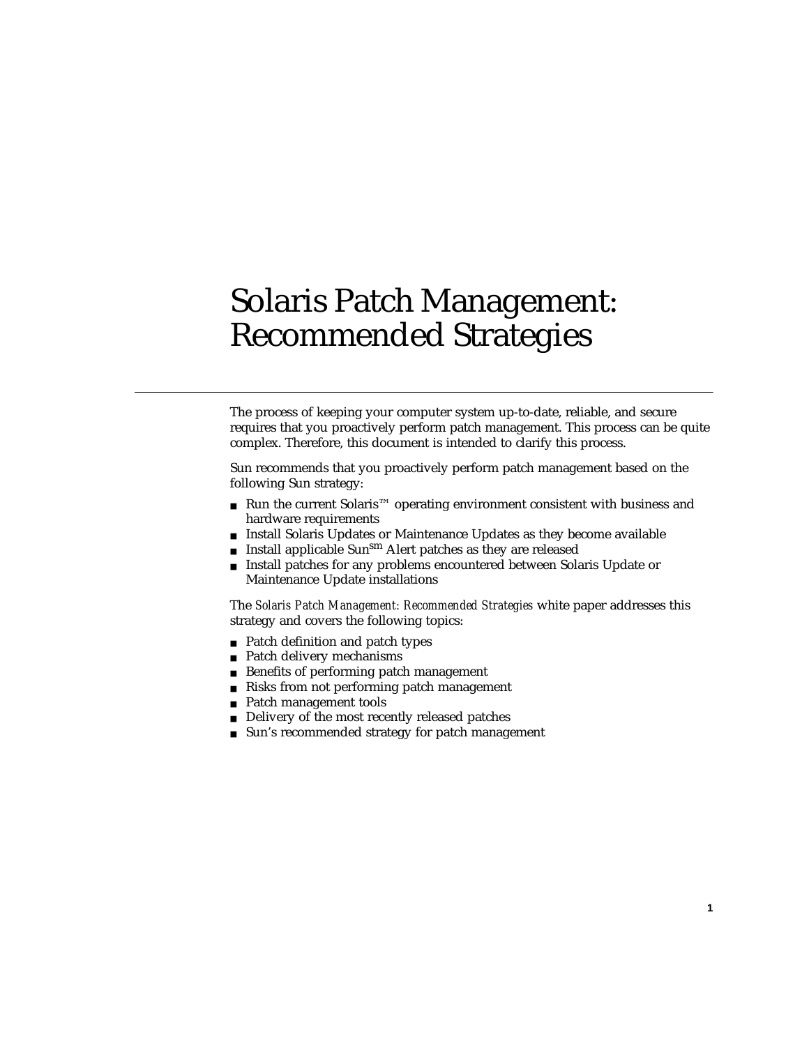# Solaris Patch Management: Recommended Strategies

The process of keeping your computer system up-to-date, reliable, and secure requires that you proactively perform patch management. This process can be quite complex. Therefore, this document is intended to clarify this process.

Sun recommends that you proactively perform patch management based on the following Sun strategy:

- Run the current Solaris<sup>™</sup> operating environment consistent with business and hardware requirements
- Install Solaris Updates or Maintenance Updates as they become available
- Install applicable Sun<sup>sm</sup> Alert patches as they are released
- Install patches for any problems encountered between Solaris Update or Maintenance Update installations

The *Solaris Patch Management: Recommended Strategies* white paper addresses this strategy and covers the following topics:

- Patch definition and patch types
- Patch delivery mechanisms
- Benefits of performing patch management
- Risks from not performing patch management
- Patch management tools
- Delivery of the most recently released patches
- Sun's recommended strategy for patch management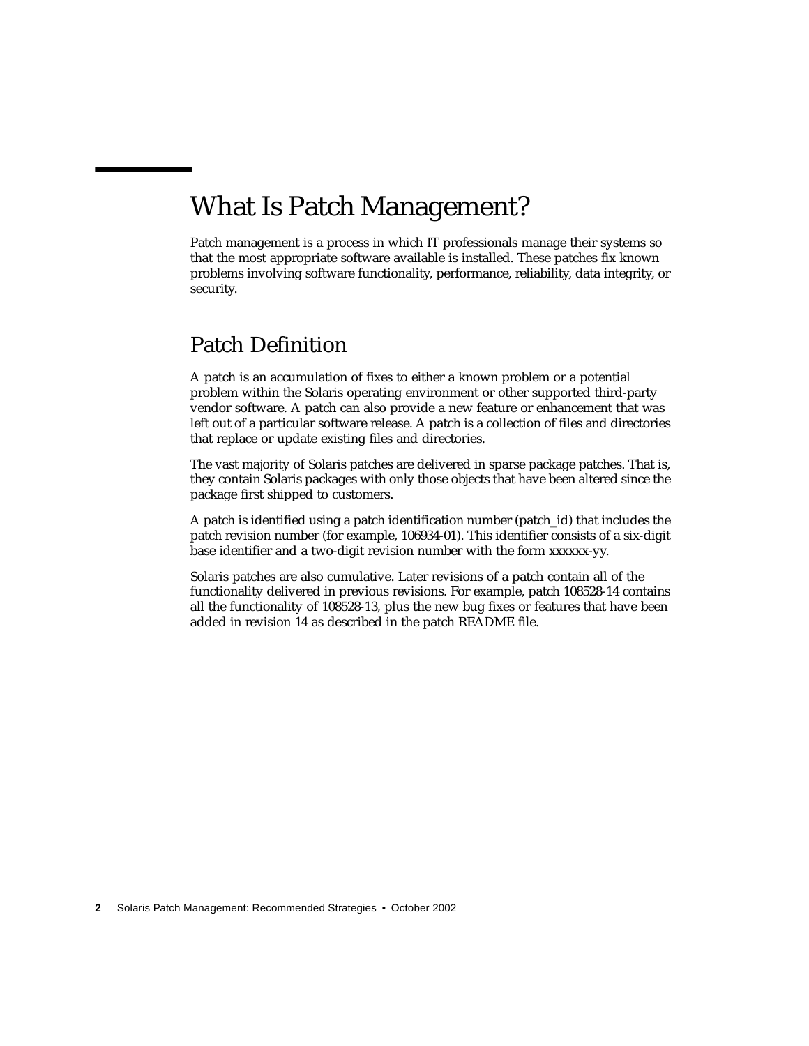# What Is Patch Management?

Patch management is a process in which IT professionals manage their systems so that the most appropriate software available is installed. These patches fix known problems involving software functionality, performance, reliability, data integrity, or security.

## Patch Definition

A patch is an accumulation of fixes to either a known problem or a potential problem within the Solaris operating environment or other supported third-party vendor software. A patch can also provide a new feature or enhancement that was left out of a particular software release. A patch is a collection of files and directories that replace or update existing files and directories.

The vast majority of Solaris patches are delivered in sparse package patches. That is, they contain Solaris packages with only those objects that have been altered since the package first shipped to customers.

A patch is identified using a patch identification number (patch\_id) that includes the patch revision number (for example, 106934-01). This identifier consists of a six-digit base identifier and a two-digit revision number with the form xxxxxx-yy.

Solaris patches are also cumulative. Later revisions of a patch contain all of the functionality delivered in previous revisions. For example, patch 108528-14 contains all the functionality of 108528-13, plus the new bug fixes or features that have been added in revision 14 as described in the patch README file.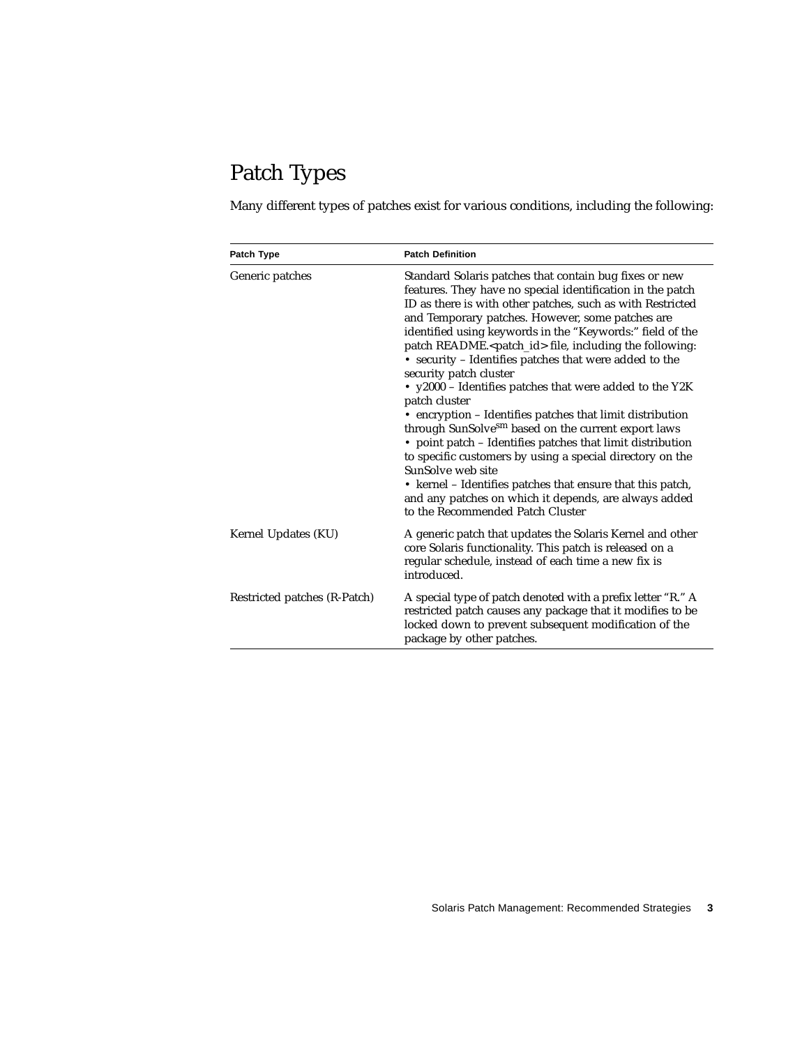# Patch Types

Many different types of patches exist for various conditions, including the following:

| Patch Type                   | <b>Patch Definition</b>                                                                                                                                                                                                                                                                                                                                                                                                                                                                                                                                                                                                                                                                                                                                                                                                                                                                                                                                                                         |  |
|------------------------------|-------------------------------------------------------------------------------------------------------------------------------------------------------------------------------------------------------------------------------------------------------------------------------------------------------------------------------------------------------------------------------------------------------------------------------------------------------------------------------------------------------------------------------------------------------------------------------------------------------------------------------------------------------------------------------------------------------------------------------------------------------------------------------------------------------------------------------------------------------------------------------------------------------------------------------------------------------------------------------------------------|--|
| Generic patches              | Standard Solaris patches that contain bug fixes or new<br>features. They have no special identification in the patch<br>ID as there is with other patches, such as with Restricted<br>and Temporary patches. However, some patches are<br>identified using keywords in the "Keywords:" field of the<br>patch README. <patch_id> file, including the following:<br/>• security - Identifies patches that were added to the<br/>security patch cluster<br/>• y2000 - Identifies patches that were added to the Y2K<br/>patch cluster<br/>• encryption - Identifies patches that limit distribution<br/>through SunSolve<sup>sm</sup> based on the current export laws<br/>• point patch - Identifies patches that limit distribution<br/>to specific customers by using a special directory on the<br/>SunSolve web site<br/>• kernel - Identifies patches that ensure that this patch,<br/>and any patches on which it depends, are always added<br/>to the Recommended Patch Cluster</patch_id> |  |
| Kernel Updates (KU)          | A generic patch that updates the Solaris Kernel and other<br>core Solaris functionality. This patch is released on a<br>regular schedule, instead of each time a new fix is<br>introduced.                                                                                                                                                                                                                                                                                                                                                                                                                                                                                                                                                                                                                                                                                                                                                                                                      |  |
| Restricted patches (R-Patch) | A special type of patch denoted with a prefix letter "R." A<br>restricted patch causes any package that it modifies to be<br>locked down to prevent subsequent modification of the<br>package by other patches.                                                                                                                                                                                                                                                                                                                                                                                                                                                                                                                                                                                                                                                                                                                                                                                 |  |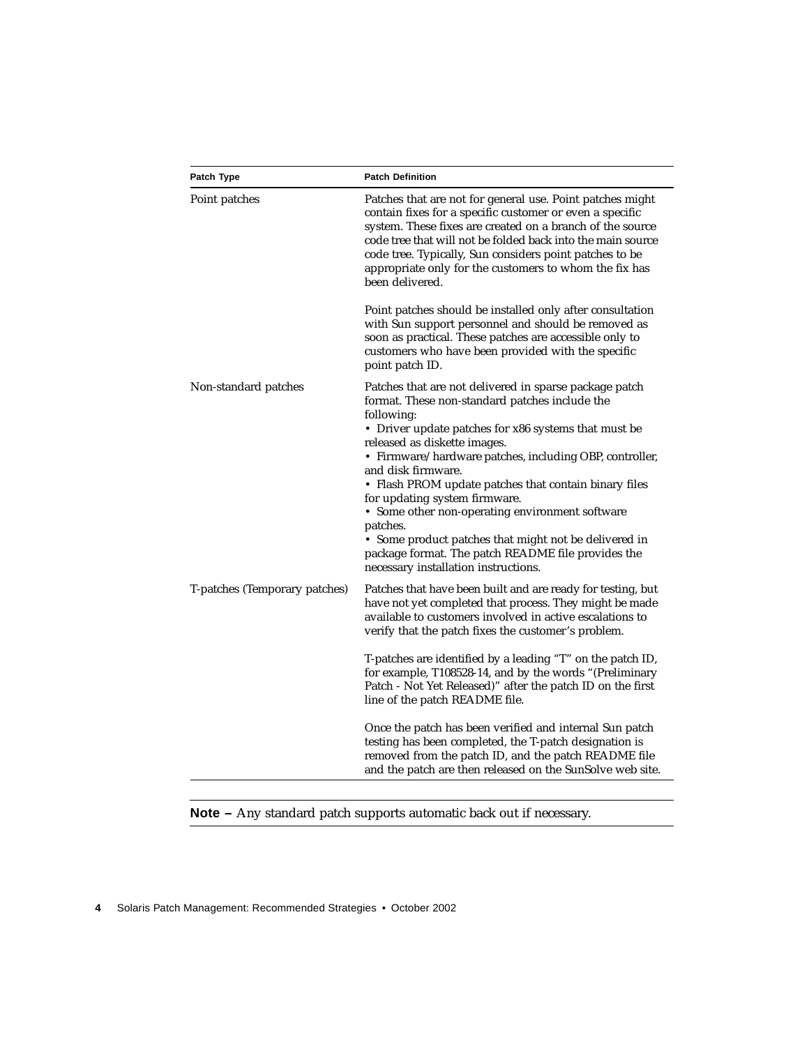| Patch Type                    | <b>Patch Definition</b>                                                                                                                                                                                                                                                                                                                                                                                                                                                                                                                                                                                         |  |
|-------------------------------|-----------------------------------------------------------------------------------------------------------------------------------------------------------------------------------------------------------------------------------------------------------------------------------------------------------------------------------------------------------------------------------------------------------------------------------------------------------------------------------------------------------------------------------------------------------------------------------------------------------------|--|
| Point patches                 | Patches that are not for general use. Point patches might<br>contain fixes for a specific customer or even a specific<br>system. These fixes are created on a branch of the source<br>code tree that will not be folded back into the main source<br>code tree. Typically, Sun considers point patches to be<br>appropriate only for the customers to whom the fix has<br>been delivered.<br>Point patches should be installed only after consultation                                                                                                                                                          |  |
|                               | with Sun support personnel and should be removed as<br>soon as practical. These patches are accessible only to<br>customers who have been provided with the specific<br>point patch ID.                                                                                                                                                                                                                                                                                                                                                                                                                         |  |
| Non-standard patches          | Patches that are not delivered in sparse package patch<br>format. These non-standard patches include the<br>following:<br>• Driver update patches for x86 systems that must be<br>released as diskette images.<br>• Firmware/hardware patches, including OBP, controller,<br>and disk firmware.<br>• Flash PROM update patches that contain binary files<br>for updating system firmware.<br>• Some other non-operating environment software<br>patches.<br>• Some product patches that might not be delivered in<br>package format. The patch README file provides the<br>necessary installation instructions. |  |
| T-patches (Temporary patches) | Patches that have been built and are ready for testing, but<br>have not yet completed that process. They might be made<br>available to customers involved in active escalations to<br>verify that the patch fixes the customer's problem.                                                                                                                                                                                                                                                                                                                                                                       |  |
|                               | T-patches are identified by a leading "T" on the patch ID,<br>for example, T108528-14, and by the words "(Preliminary<br>Patch - Not Yet Released)" after the patch ID on the first<br>line of the patch README file.                                                                                                                                                                                                                                                                                                                                                                                           |  |
|                               | Once the patch has been verified and internal Sun patch<br>testing has been completed, the T-patch designation is<br>removed from the patch ID, and the patch README file<br>and the patch are then released on the SunSolve web site.                                                                                                                                                                                                                                                                                                                                                                          |  |

**Note –** Any standard patch supports automatic back out if necessary.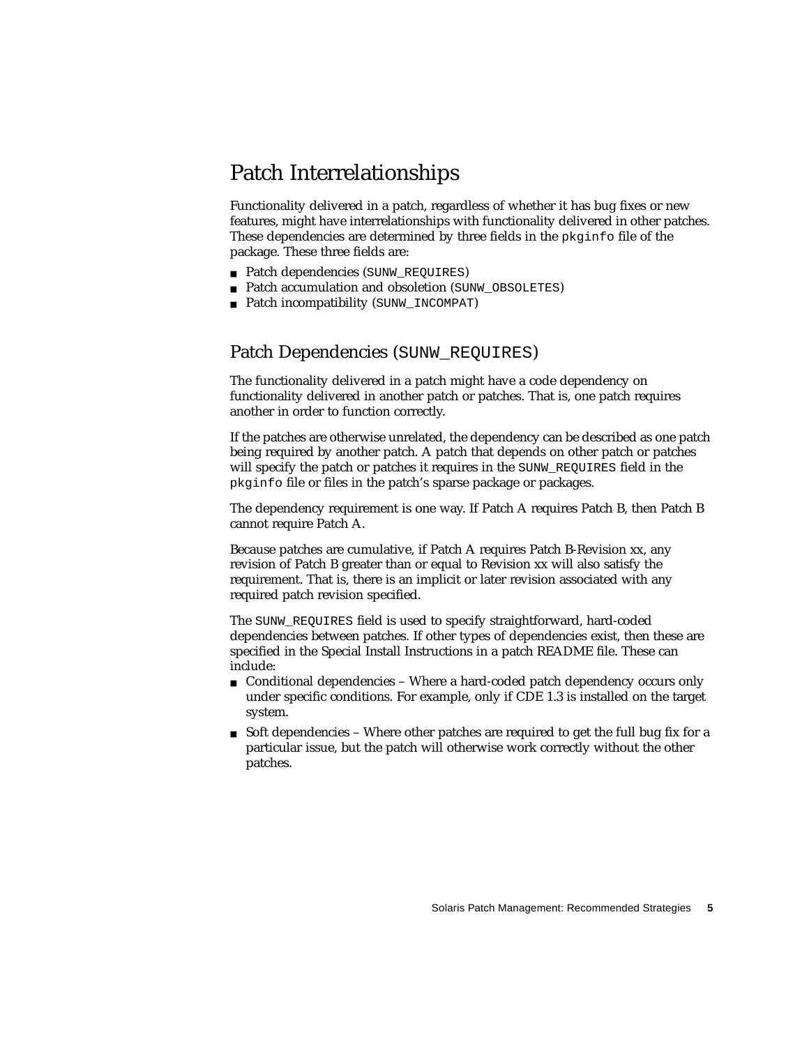## Patch Interrelationships

Functionality delivered in a patch, regardless of whether it has bug fixes or new features, might have interrelationships with functionality delivered in other patches. These dependencies are determined by three fields in the pkginfo file of the package. These three fields are:

- Patch dependencies (SUNW\_REQUIRES)
- Patch accumulation and obsoletion (SUNW\_OBSOLETES)
- Patch incompatibility (SUNW\_INCOMPAT)

#### Patch Dependencies (SUNW\_REQUIRES)

The functionality delivered in a patch might have a code dependency on functionality delivered in another patch or patches. That is, one patch requires another in order to function correctly.

If the patches are otherwise unrelated, the dependency can be described as one patch being required by another patch. A patch that depends on other patch or patches will specify the patch or patches it requires in the SUNW\_REQUIRES field in the pkginfo file or files in the patch's sparse package or packages.

The dependency requirement is one way. If Patch A requires Patch B, then Patch B cannot require Patch A.

Because patches are cumulative, if Patch A requires Patch B-Revision xx, any revision of Patch B greater than or equal to Revision xx will also satisfy the requirement. That is, there is an implicit or later revision associated with any required patch revision specified.

The SUNW\_REQUIRES field is used to specify straightforward, hard-coded dependencies between patches. If other types of dependencies exist, then these are specified in the Special Install Instructions in a patch README file. These can include:

- Conditional dependencies Where a hard-coded patch dependency occurs only under specific conditions. For example, only if CDE 1.3 is installed on the target system.
- Soft dependencies Where other patches are required to get the full bug fix for a particular issue, but the patch will otherwise work correctly without the other patches.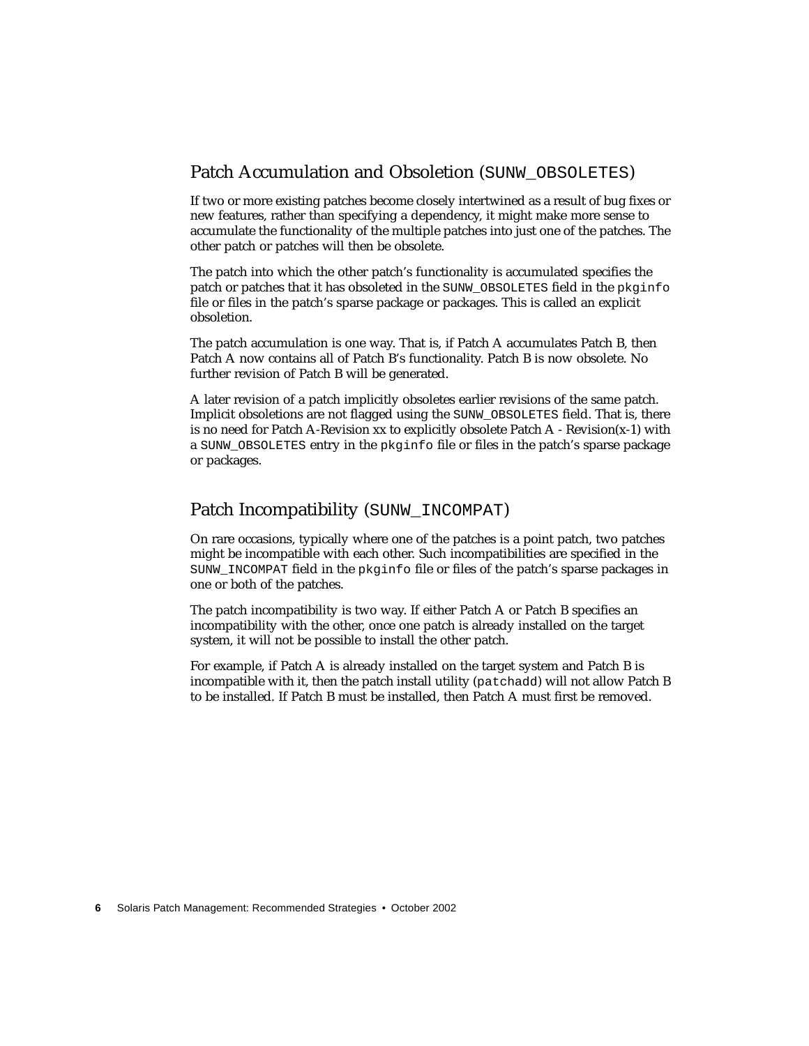### Patch Accumulation and Obsoletion (SUNW\_OBSOLETES)

If two or more existing patches become closely intertwined as a result of bug fixes or new features, rather than specifying a dependency, it might make more sense to accumulate the functionality of the multiple patches into just one of the patches. The other patch or patches will then be obsolete.

The patch into which the other patch's functionality is accumulated specifies the patch or patches that it has obsoleted in the SUNW\_OBSOLETES field in the pkginfo file or files in the patch's sparse package or packages. This is called an explicit obsoletion.

The patch accumulation is one way. That is, if Patch A accumulates Patch B, then Patch A now contains all of Patch B's functionality. Patch B is now obsolete. No further revision of Patch B will be generated.

A later revision of a patch implicitly obsoletes earlier revisions of the same patch. Implicit obsoletions are not flagged using the SUNW\_OBSOLETES field. That is, there is no need for Patch A-Revision xx to explicitly obsolete Patch  $A$  - Revision(x-1) with a SUNW\_OBSOLETES entry in the pkginfo file or files in the patch's sparse package or packages.

#### Patch Incompatibility (SUNW\_INCOMPAT)

On rare occasions, typically where one of the patches is a point patch, two patches might be incompatible with each other. Such incompatibilities are specified in the SUNW\_INCOMPAT field in the pkginfo file or files of the patch's sparse packages in one or both of the patches.

The patch incompatibility is two way. If either Patch A or Patch B specifies an incompatibility with the other, once one patch is already installed on the target system, it will not be possible to install the other patch.

For example, if Patch A is already installed on the target system and Patch B is incompatible with it, then the patch install utility (patchadd) will not allow Patch B to be installed. If Patch B must be installed, then Patch A must first be removed.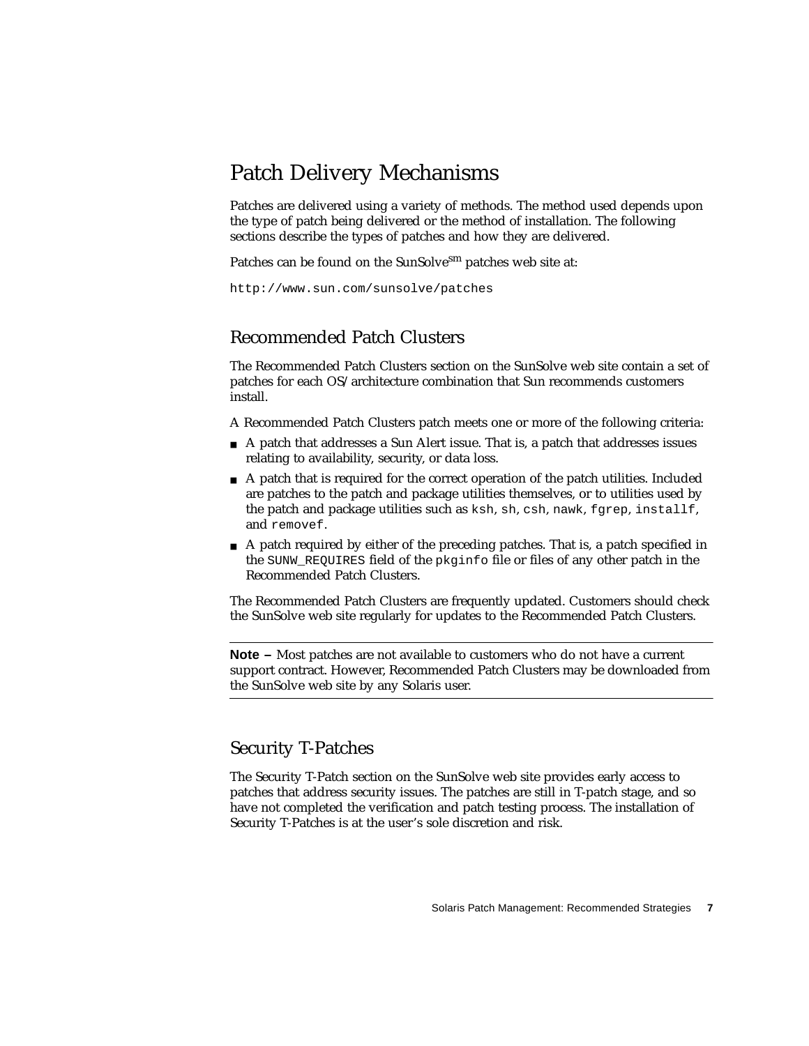## Patch Delivery Mechanisms

Patches are delivered using a variety of methods. The method used depends upon the type of patch being delivered or the method of installation. The following sections describe the types of patches and how they are delivered.

Patches can be found on the SunSolve<sup>sm</sup> patches web site at:

http://www.sun.com/sunsolve/patches

#### Recommended Patch Clusters

The Recommended Patch Clusters section on the SunSolve web site contain a set of patches for each OS/architecture combination that Sun recommends customers install.

A Recommended Patch Clusters patch meets one or more of the following criteria:

- A patch that addresses a Sun Alert issue. That is, a patch that addresses issues relating to availability, security, or data loss.
- A patch that is required for the correct operation of the patch utilities. Included are patches to the patch and package utilities themselves, or to utilities used by the patch and package utilities such as ksh, sh, csh, nawk, fgrep, installf, and removef.
- A patch required by either of the preceding patches. That is, a patch specified in the SUNW\_REQUIRES field of the pkginfo file or files of any other patch in the Recommended Patch Clusters.

The Recommended Patch Clusters are frequently updated. Customers should check the SunSolve web site regularly for updates to the Recommended Patch Clusters.

**Note –** Most patches are not available to customers who do not have a current support contract. However, Recommended Patch Clusters may be downloaded from the SunSolve web site by any Solaris user.

#### Security T-Patches

The Security T-Patch section on the SunSolve web site provides early access to patches that address security issues. The patches are still in T-patch stage, and so have not completed the verification and patch testing process. The installation of Security T-Patches is at the user's sole discretion and risk.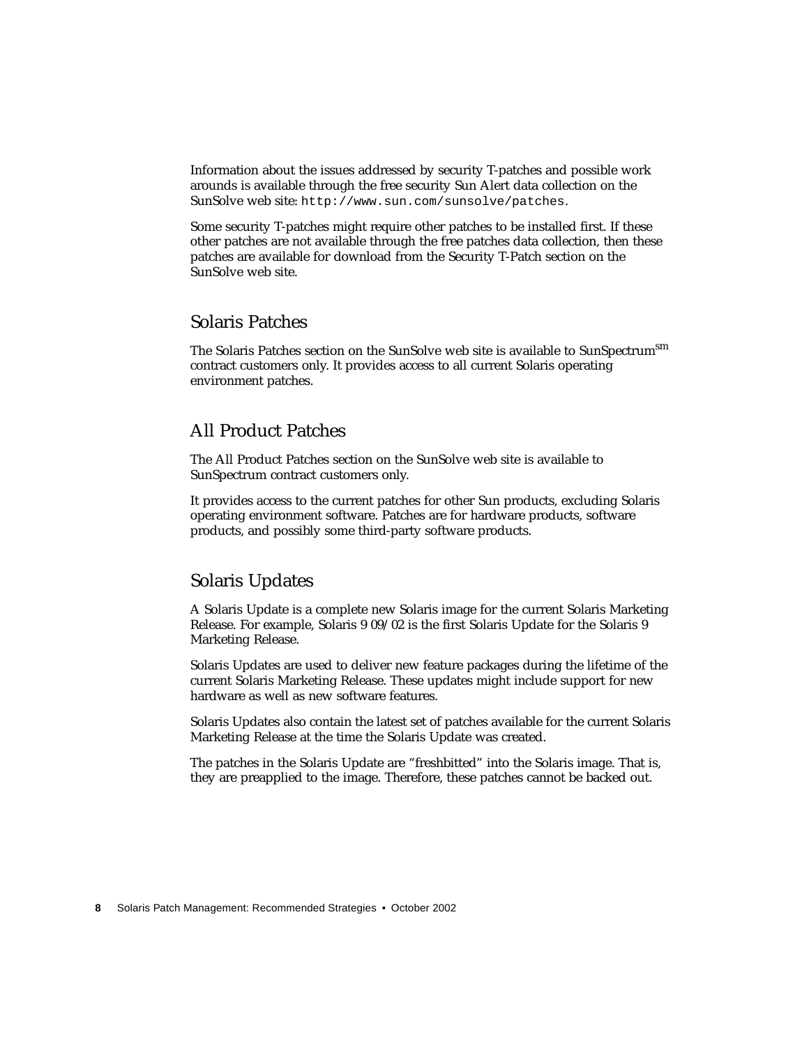Information about the issues addressed by security T-patches and possible work arounds is available through the free security Sun Alert data collection on the SunSolve web site: http://www.sun.com/sunsolve/patches.

Some security T-patches might require other patches to be installed first. If these other patches are not available through the free patches data collection, then these patches are available for download from the Security T-Patch section on the SunSolve web site.

#### Solaris Patches

The Solaris Patches section on the SunSolve web site is available to SunSpectrum<sup>sm</sup> contract customers only. It provides access to all current Solaris operating environment patches.

#### All Product Patches

The All Product Patches section on the SunSolve web site is available to SunSpectrum contract customers only.

It provides access to the current patches for other Sun products, excluding Solaris operating environment software. Patches are for hardware products, software products, and possibly some third-party software products.

#### Solaris Updates

A Solaris Update is a complete new Solaris image for the current Solaris Marketing Release. For example, Solaris 9 09/02 is the first Solaris Update for the Solaris 9 Marketing Release.

Solaris Updates are used to deliver new feature packages during the lifetime of the current Solaris Marketing Release. These updates might include support for new hardware as well as new software features.

Solaris Updates also contain the latest set of patches available for the current Solaris Marketing Release at the time the Solaris Update was created.

The patches in the Solaris Update are "freshbitted" into the Solaris image. That is, they are preapplied to the image. Therefore, these patches cannot be backed out.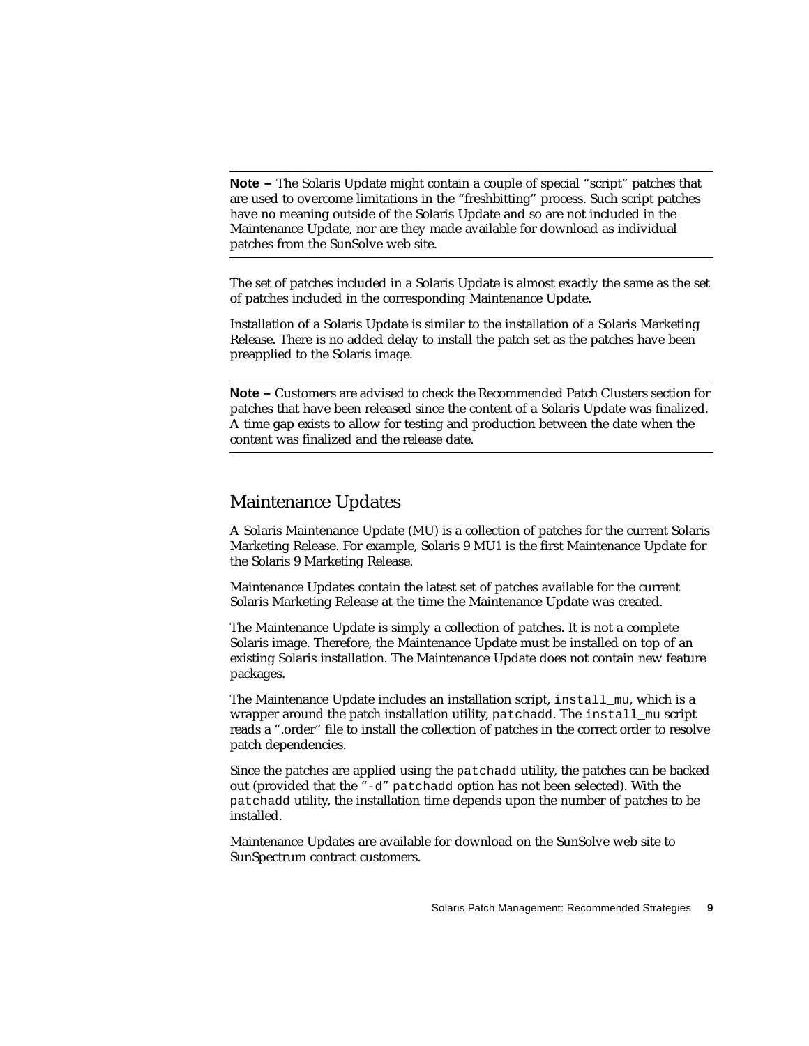**Note –** The Solaris Update might contain a couple of special "script" patches that are used to overcome limitations in the "freshbitting" process. Such script patches have no meaning outside of the Solaris Update and so are not included in the Maintenance Update, nor are they made available for download as individual patches from the SunSolve web site.

The set of patches included in a Solaris Update is almost exactly the same as the set of patches included in the corresponding Maintenance Update.

Installation of a Solaris Update is similar to the installation of a Solaris Marketing Release. There is no added delay to install the patch set as the patches have been preapplied to the Solaris image.

**Note –** Customers are advised to check the Recommended Patch Clusters section for patches that have been released since the content of a Solaris Update was finalized. A time gap exists to allow for testing and production between the date when the content was finalized and the release date.

#### Maintenance Updates

A Solaris Maintenance Update (MU) is a collection of patches for the current Solaris Marketing Release. For example, Solaris 9 MU1 is the first Maintenance Update for the Solaris 9 Marketing Release.

Maintenance Updates contain the latest set of patches available for the current Solaris Marketing Release at the time the Maintenance Update was created.

The Maintenance Update is simply a collection of patches. It is not a complete Solaris image. Therefore, the Maintenance Update must be installed on top of an existing Solaris installation. The Maintenance Update does not contain new feature packages.

The Maintenance Update includes an installation script, install mu, which is a wrapper around the patch installation utility, patchadd. The install mu script reads a ".order" file to install the collection of patches in the correct order to resolve patch dependencies.

Since the patches are applied using the patchadd utility, the patches can be backed out (provided that the "-d" patchadd option has not been selected). With the patchadd utility, the installation time depends upon the number of patches to be installed.

Maintenance Updates are available for download on the SunSolve web site to SunSpectrum contract customers.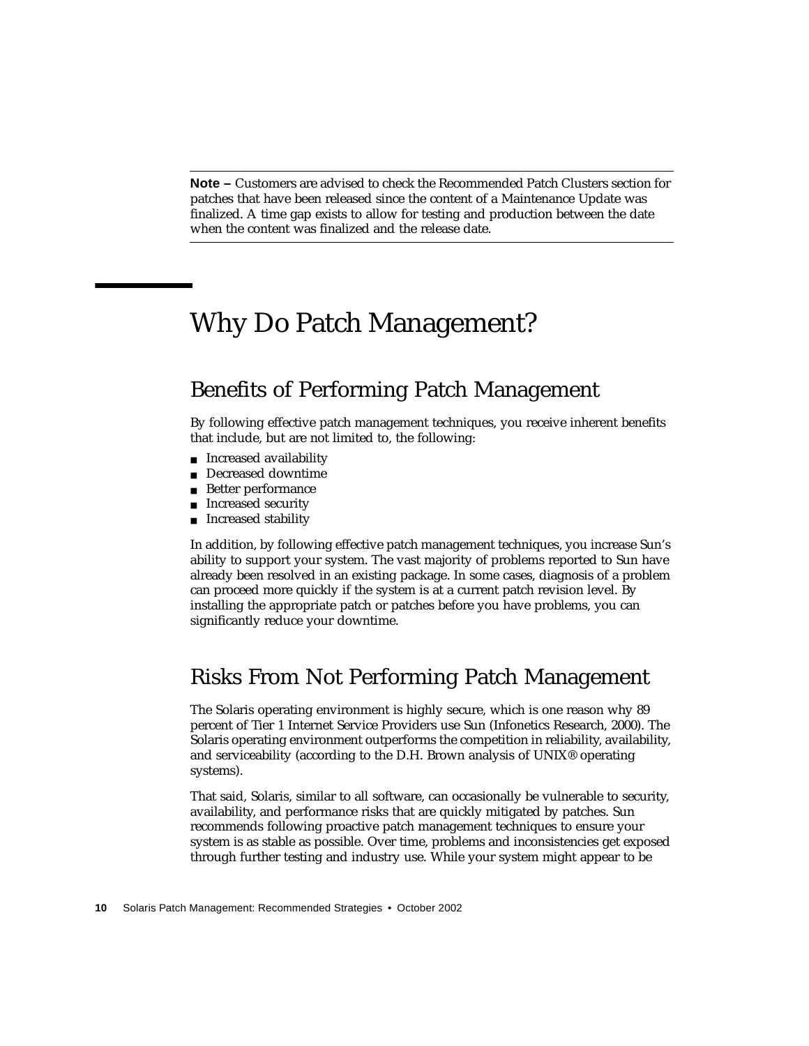**Note –** Customers are advised to check the Recommended Patch Clusters section for patches that have been released since the content of a Maintenance Update was finalized. A time gap exists to allow for testing and production between the date when the content was finalized and the release date.

# Why Do Patch Management?

### Benefits of Performing Patch Management

By following effective patch management techniques, you receive inherent benefits that include, but are not limited to, the following:

- Increased availability
- Decreased downtime
- Better performance
- Increased security
- Increased stability

In addition, by following effective patch management techniques, you increase Sun's ability to support your system. The vast majority of problems reported to Sun have already been resolved in an existing package. In some cases, diagnosis of a problem can proceed more quickly if the system is at a current patch revision level. By installing the appropriate patch or patches before you have problems, you can significantly reduce your downtime.

### Risks From Not Performing Patch Management

The Solaris operating environment is highly secure, which is one reason why 89 percent of Tier 1 Internet Service Providers use Sun (Infonetics Research, 2000). The Solaris operating environment outperforms the competition in reliability, availability, and serviceability (according to the D.H. Brown analysis of UNIX® operating systems).

That said, Solaris, similar to all software, can occasionally be vulnerable to security, availability, and performance risks that are quickly mitigated by patches. Sun recommends following proactive patch management techniques to ensure your system is as stable as possible. Over time, problems and inconsistencies get exposed through further testing and industry use. While your system might appear to be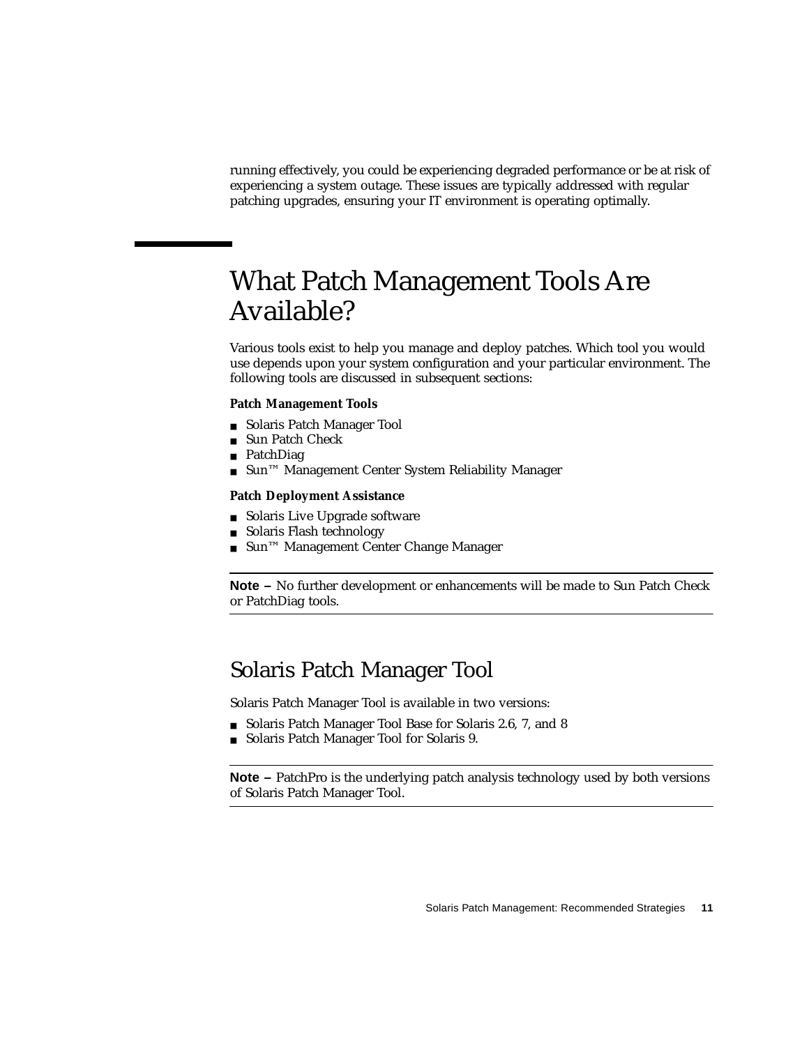running effectively, you could be experiencing degraded performance or be at risk of experiencing a system outage. These issues are typically addressed with regular patching upgrades, ensuring your IT environment is operating optimally.

# What Patch Management Tools Are Available?

Various tools exist to help you manage and deploy patches. Which tool you would use depends upon your system configuration and your particular environment. The following tools are discussed in subsequent sections:

#### **Patch Management Tools**

- Solaris Patch Manager Tool
- Sun Patch Check
- PatchDiag
- Sun<sup>™</sup> Management Center System Reliability Manager

#### **Patch Deployment Assistance**

- Solaris Live Upgrade software
- Solaris Flash technology
- Sun<sup>™</sup> Management Center Change Manager

**Note –** No further development or enhancements will be made to Sun Patch Check or PatchDiag tools.

## Solaris Patch Manager Tool

Solaris Patch Manager Tool is available in two versions:

- Solaris Patch Manager Tool Base for Solaris 2.6, 7, and 8
- Solaris Patch Manager Tool for Solaris 9.

**Note –** PatchPro is the underlying patch analysis technology used by both versions of Solaris Patch Manager Tool.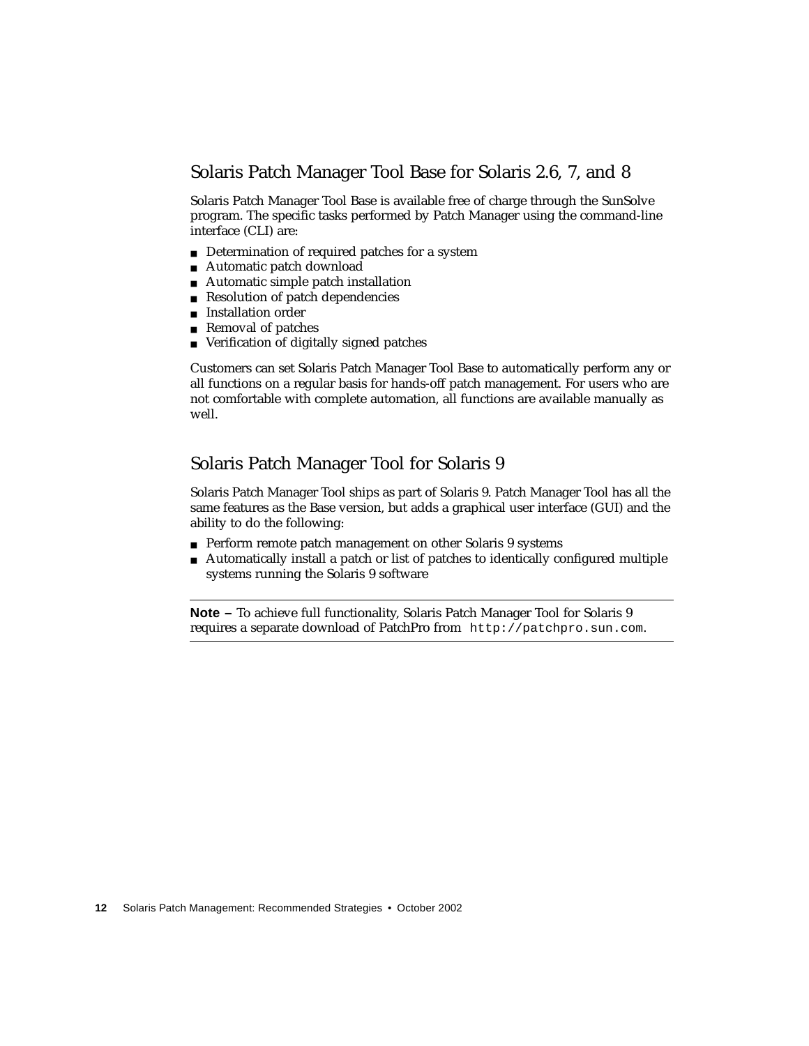Solaris Patch Manager Tool Base for Solaris 2.6, 7, and 8

Solaris Patch Manager Tool Base is available free of charge through the SunSolve program. The specific tasks performed by Patch Manager using the command-line interface (CLI) are:

- Determination of required patches for a system
- Automatic patch download
- Automatic simple patch installation
- Resolution of patch dependencies
- Installation order
- Removal of patches
- Verification of digitally signed patches

Customers can set Solaris Patch Manager Tool Base to automatically perform any or all functions on a regular basis for hands-off patch management. For users who are not comfortable with complete automation, all functions are available manually as well.

#### Solaris Patch Manager Tool for Solaris 9

Solaris Patch Manager Tool ships as part of Solaris 9. Patch Manager Tool has all the same features as the Base version, but adds a graphical user interface (GUI) and the ability to do the following:

- Perform remote patch management on other Solaris 9 systems
- Automatically install a patch or list of patches to identically configured multiple systems running the Solaris 9 software

**Note –** To achieve full functionality, Solaris Patch Manager Tool for Solaris 9 requires a separate download of PatchPro from http://patchpro.sun.com.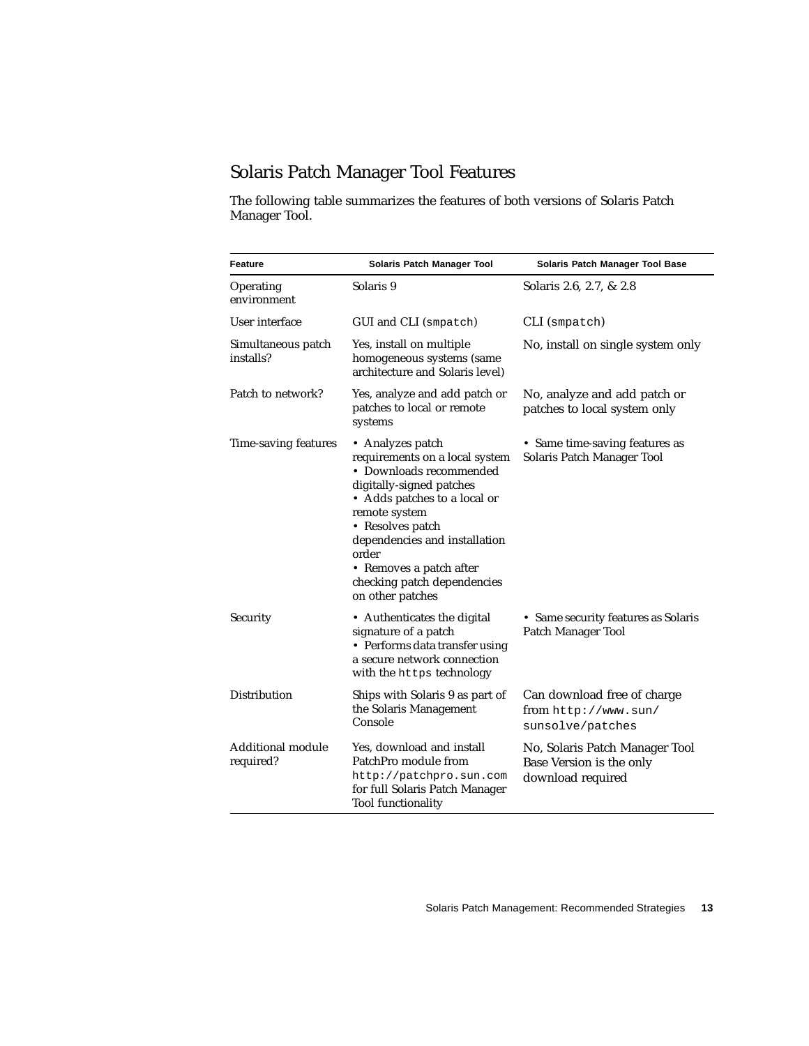## Solaris Patch Manager Tool Features

The following table summarizes the features of both versions of Solaris Patch Manager Tool.

| Feature                               | Solaris Patch Manager Tool                                                                                                                                                                                                                                                                             | Solaris Patch Manager Tool Base                                                 |
|---------------------------------------|--------------------------------------------------------------------------------------------------------------------------------------------------------------------------------------------------------------------------------------------------------------------------------------------------------|---------------------------------------------------------------------------------|
| Operating<br>environment              | Solaris 9                                                                                                                                                                                                                                                                                              | Solaris 2.6, 2.7, & 2.8                                                         |
| User interface                        | GUI and CLI (smpatch)                                                                                                                                                                                                                                                                                  | CLI (smpatch)                                                                   |
| Simultaneous patch<br>installs?       | Yes, install on multiple<br>homogeneous systems (same<br>architecture and Solaris level)                                                                                                                                                                                                               | No, install on single system only                                               |
| Patch to network?                     | Yes, analyze and add patch or<br>patches to local or remote<br>systems                                                                                                                                                                                                                                 | No, analyze and add patch or<br>patches to local system only                    |
| Time-saving features                  | • Analyzes patch<br>requirements on a local system<br>• Downloads recommended<br>digitally-signed patches<br>• Adds patches to a local or<br>remote system<br>• Resolves patch<br>dependencies and installation<br>order<br>• Removes a patch after<br>checking patch dependencies<br>on other patches | • Same time-saving features as<br>Solaris Patch Manager Tool                    |
| Security                              | • Authenticates the digital<br>signature of a patch<br>• Performs data transfer using<br>a secure network connection<br>with the https technology                                                                                                                                                      | • Same security features as Solaris<br>Patch Manager Tool                       |
| <b>Distribution</b>                   | Ships with Solaris 9 as part of<br>the Solaris Management<br>Console                                                                                                                                                                                                                                   | Can download free of charge<br>from http://www.sun/<br>sunsolve/patches         |
| <b>Additional module</b><br>required? | Yes, download and install<br>PatchPro module from<br>http://patchpro.sun.com<br>for full Solaris Patch Manager<br>Tool functionality                                                                                                                                                                   | No, Solaris Patch Manager Tool<br>Base Version is the only<br>download required |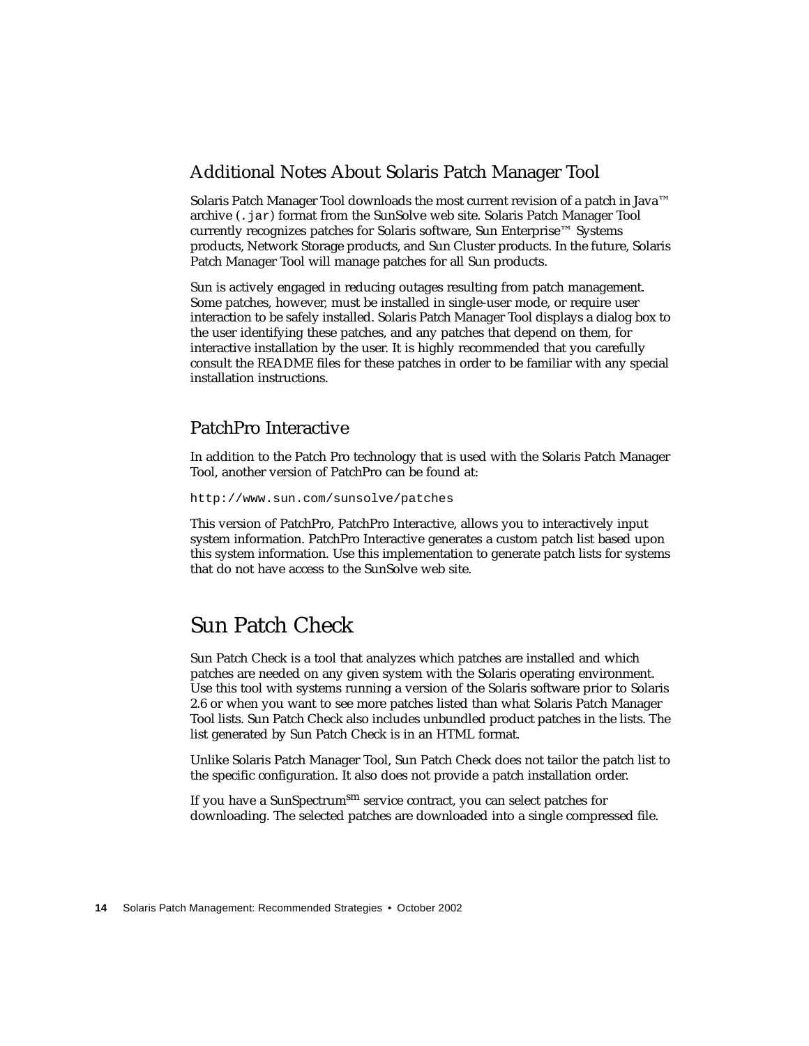### Additional Notes About Solaris Patch Manager Tool

Solaris Patch Manager Tool downloads the most current revision of a patch in Java™ archive  $(.)$  jar) format from the SunSolve web site. Solaris Patch Manager Tool currently recognizes patches for Solaris software, Sun Enterprise™ Systems products, Network Storage products, and Sun Cluster products. In the future, Solaris Patch Manager Tool will manage patches for all Sun products.

Sun is actively engaged in reducing outages resulting from patch management. Some patches, however, must be installed in single-user mode, or require user interaction to be safely installed. Solaris Patch Manager Tool displays a dialog box to the user identifying these patches, and any patches that depend on them, for interactive installation by the user. It is highly recommended that you carefully consult the README files for these patches in order to be familiar with any special installation instructions.

#### PatchPro Interactive

In addition to the Patch Pro technology that is used with the Solaris Patch Manager Tool, another version of PatchPro can be found at:

http://www.sun.com/sunsolve/patches

This version of PatchPro, PatchPro Interactive, allows you to interactively input system information. PatchPro Interactive generates a custom patch list based upon this system information. Use this implementation to generate patch lists for systems that do not have access to the SunSolve web site.

### Sun Patch Check

Sun Patch Check is a tool that analyzes which patches are installed and which patches are needed on any given system with the Solaris operating environment. Use this tool with systems running a version of the Solaris software prior to Solaris 2.6 or when you want to see more patches listed than what Solaris Patch Manager Tool lists. Sun Patch Check also includes unbundled product patches in the lists. The list generated by Sun Patch Check is in an HTML format.

Unlike Solaris Patch Manager Tool, Sun Patch Check does not tailor the patch list to the specific configuration. It also does not provide a patch installation order.

If you have a SunSpectrum<sup>sm</sup> service contract, you can select patches for downloading. The selected patches are downloaded into a single compressed file.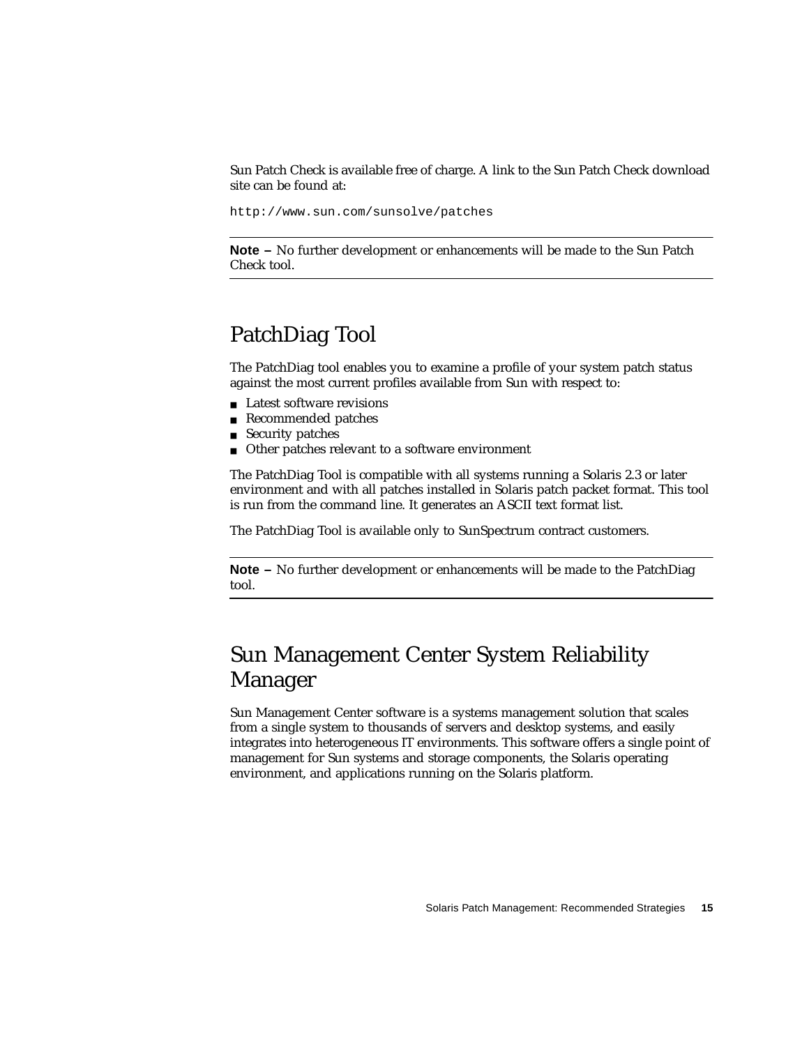Sun Patch Check is available free of charge. A link to the Sun Patch Check download site can be found at:

```
http://www.sun.com/sunsolve/patches
```
**Note –** No further development or enhancements will be made to the Sun Patch Check tool.

## PatchDiag Tool

The PatchDiag tool enables you to examine a profile of your system patch status against the most current profiles available from Sun with respect to:

- Latest software revisions
- Recommended patches
- Security patches
- Other patches relevant to a software environment

The PatchDiag Tool is compatible with all systems running a Solaris 2.3 or later environment and with all patches installed in Solaris patch packet format. This tool is run from the command line. It generates an ASCII text format list.

The PatchDiag Tool is available only to SunSpectrum contract customers.

**Note –** No further development or enhancements will be made to the PatchDiag tool.

# Sun Management Center System Reliability Manager

Sun Management Center software is a systems management solution that scales from a single system to thousands of servers and desktop systems, and easily integrates into heterogeneous IT environments. This software offers a single point of management for Sun systems and storage components, the Solaris operating environment, and applications running on the Solaris platform.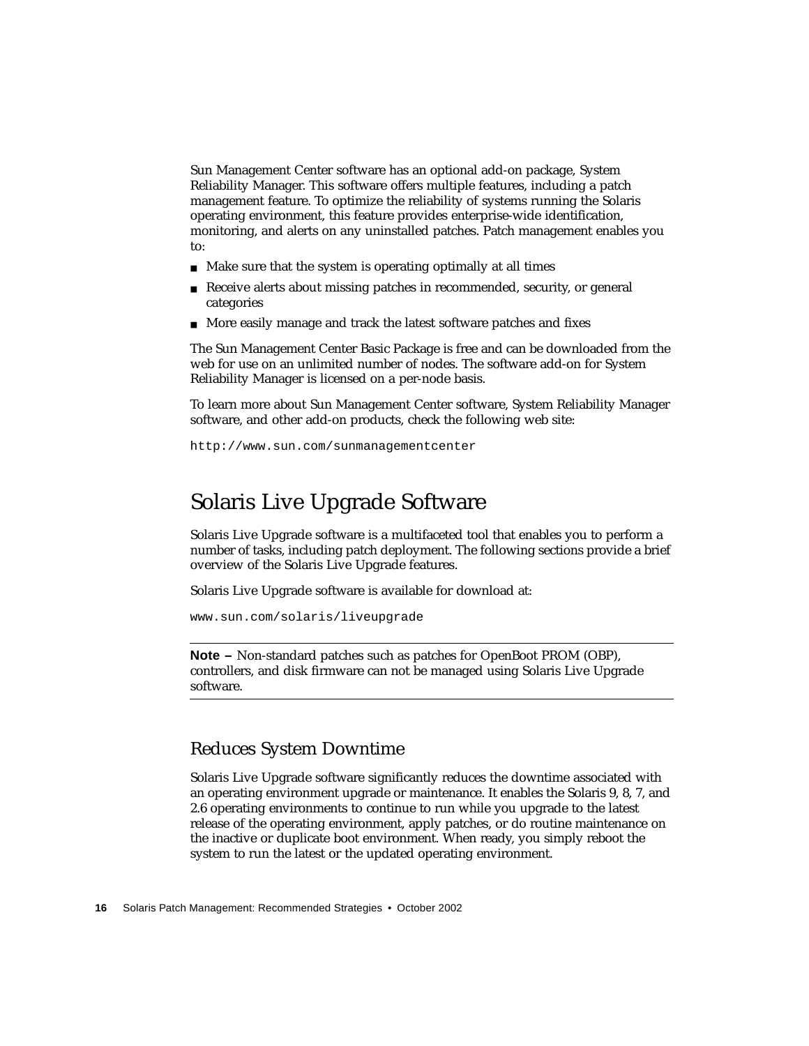Sun Management Center software has an optional add-on package, System Reliability Manager. This software offers multiple features, including a patch management feature. To optimize the reliability of systems running the Solaris operating environment, this feature provides enterprise-wide identification, monitoring, and alerts on any uninstalled patches. Patch management enables you to:

- Make sure that the system is operating optimally at all times
- Receive alerts about missing patches in recommended, security, or general categories
- More easily manage and track the latest software patches and fixes

The Sun Management Center Basic Package is free and can be downloaded from the web for use on an unlimited number of nodes. The software add-on for System Reliability Manager is licensed on a per-node basis.

To learn more about Sun Management Center software, System Reliability Manager software, and other add-on products, check the following web site:

http://www.sun.com/sunmanagementcenter

### Solaris Live Upgrade Software

Solaris Live Upgrade software is a multifaceted tool that enables you to perform a number of tasks, including patch deployment. The following sections provide a brief overview of the Solaris Live Upgrade features.

Solaris Live Upgrade software is available for download at:

```
www.sun.com/solaris/liveupgrade
```
**Note –** Non-standard patches such as patches for OpenBoot PROM (OBP), controllers, and disk firmware can not be managed using Solaris Live Upgrade software.

#### Reduces System Downtime

Solaris Live Upgrade software significantly reduces the downtime associated with an operating environment upgrade or maintenance. It enables the Solaris 9, 8, 7, and 2.6 operating environments to continue to run while you upgrade to the latest release of the operating environment, apply patches, or do routine maintenance on the inactive or duplicate boot environment. When ready, you simply reboot the system to run the latest or the updated operating environment.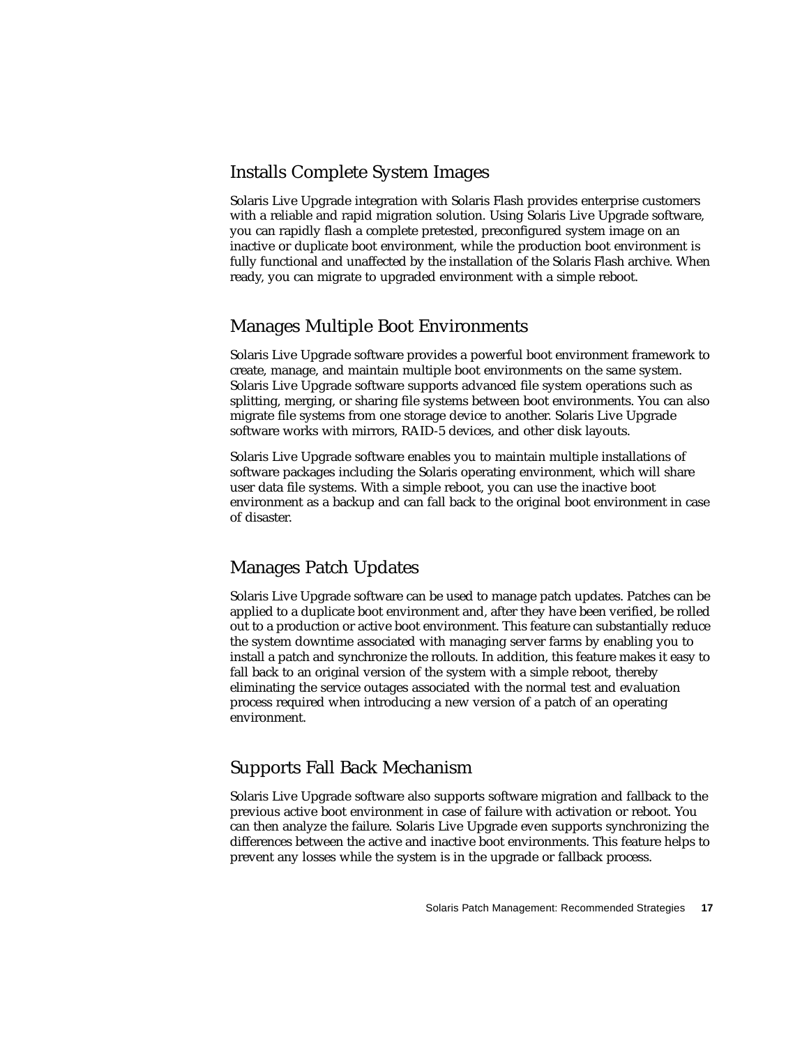#### Installs Complete System Images

Solaris Live Upgrade integration with Solaris Flash provides enterprise customers with a reliable and rapid migration solution. Using Solaris Live Upgrade software, you can rapidly flash a complete pretested, preconfigured system image on an inactive or duplicate boot environment, while the production boot environment is fully functional and unaffected by the installation of the Solaris Flash archive. When ready, you can migrate to upgraded environment with a simple reboot.

#### Manages Multiple Boot Environments

Solaris Live Upgrade software provides a powerful boot environment framework to create, manage, and maintain multiple boot environments on the same system. Solaris Live Upgrade software supports advanced file system operations such as splitting, merging, or sharing file systems between boot environments. You can also migrate file systems from one storage device to another. Solaris Live Upgrade software works with mirrors, RAID-5 devices, and other disk layouts.

Solaris Live Upgrade software enables you to maintain multiple installations of software packages including the Solaris operating environment, which will share user data file systems. With a simple reboot, you can use the inactive boot environment as a backup and can fall back to the original boot environment in case of disaster.

#### Manages Patch Updates

Solaris Live Upgrade software can be used to manage patch updates. Patches can be applied to a duplicate boot environment and, after they have been verified, be rolled out to a production or active boot environment. This feature can substantially reduce the system downtime associated with managing server farms by enabling you to install a patch and synchronize the rollouts. In addition, this feature makes it easy to fall back to an original version of the system with a simple reboot, thereby eliminating the service outages associated with the normal test and evaluation process required when introducing a new version of a patch of an operating environment.

### Supports Fall Back Mechanism

Solaris Live Upgrade software also supports software migration and fallback to the previous active boot environment in case of failure with activation or reboot. You can then analyze the failure. Solaris Live Upgrade even supports synchronizing the differences between the active and inactive boot environments. This feature helps to prevent any losses while the system is in the upgrade or fallback process.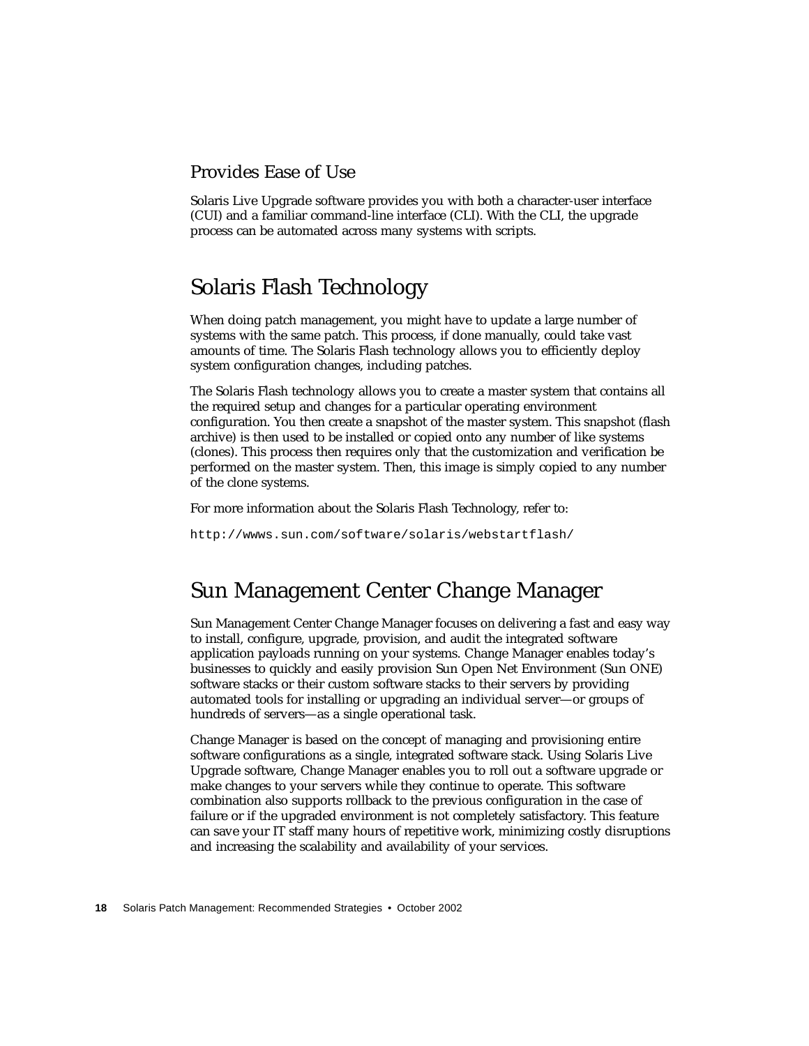#### Provides Ease of Use

Solaris Live Upgrade software provides you with both a character-user interface (CUI) and a familiar command-line interface (CLI). With the CLI, the upgrade process can be automated across many systems with scripts.

## Solaris Flash Technology

When doing patch management, you might have to update a large number of systems with the same patch. This process, if done manually, could take vast amounts of time. The Solaris Flash technology allows you to efficiently deploy system configuration changes, including patches.

The Solaris Flash technology allows you to create a master system that contains all the required setup and changes for a particular operating environment configuration. You then create a snapshot of the master system. This snapshot (flash archive) is then used to be installed or copied onto any number of like systems (clones). This process then requires only that the customization and verification be performed on the master system. Then, this image is simply copied to any number of the clone systems.

For more information about the Solaris Flash Technology, refer to:

http://wwws.sun.com/software/solaris/webstartflash/

## Sun Management Center Change Manager

Sun Management Center Change Manager focuses on delivering a fast and easy way to install, configure, upgrade, provision, and audit the integrated software application payloads running on your systems. Change Manager enables today's businesses to quickly and easily provision Sun Open Net Environment (Sun ONE) software stacks or their custom software stacks to their servers by providing automated tools for installing or upgrading an individual server—or groups of hundreds of servers—as a single operational task.

Change Manager is based on the concept of managing and provisioning entire software configurations as a single, integrated software stack. Using Solaris Live Upgrade software, Change Manager enables you to roll out a software upgrade or make changes to your servers while they continue to operate. This software combination also supports rollback to the previous configuration in the case of failure or if the upgraded environment is not completely satisfactory. This feature can save your IT staff many hours of repetitive work, minimizing costly disruptions and increasing the scalability and availability of your services.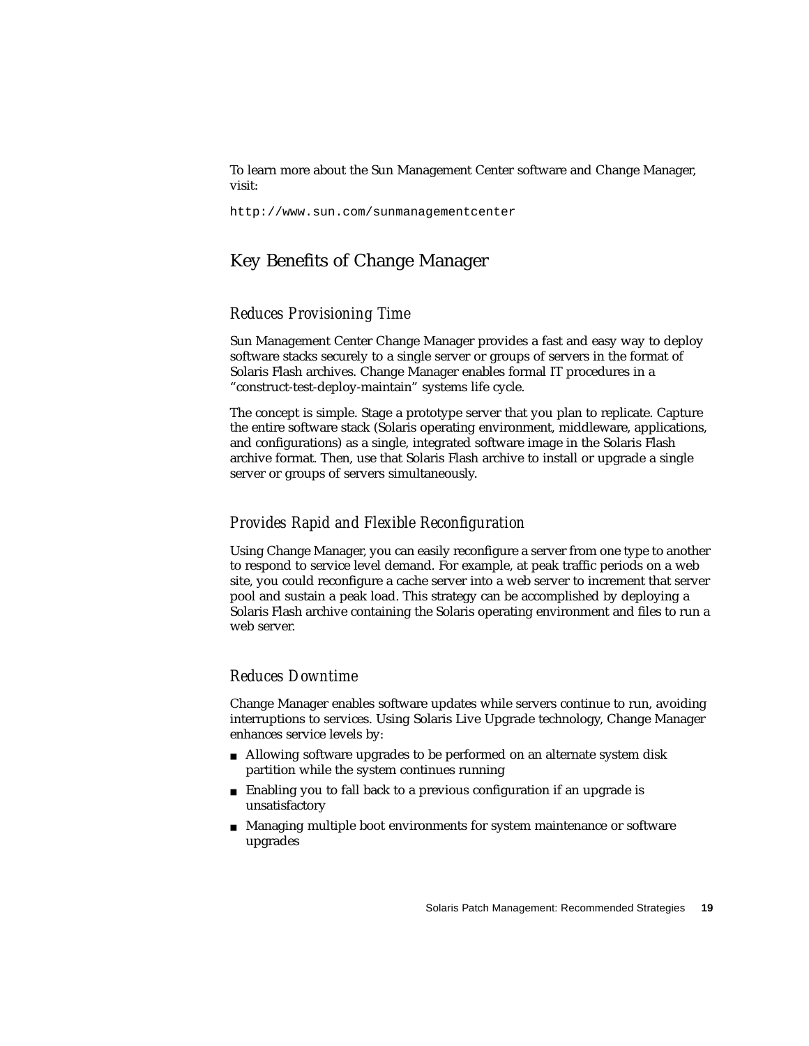To learn more about the Sun Management Center software and Change Manager, visit:

http://www.sun.com/sunmanagementcenter

### Key Benefits of Change Manager

#### *Reduces Provisioning Time*

Sun Management Center Change Manager provides a fast and easy way to deploy software stacks securely to a single server or groups of servers in the format of Solaris Flash archives. Change Manager enables formal IT procedures in a "construct-test-deploy-maintain" systems life cycle.

The concept is simple. Stage a prototype server that you plan to replicate. Capture the entire software stack (Solaris operating environment, middleware, applications, and configurations) as a single, integrated software image in the Solaris Flash archive format. Then, use that Solaris Flash archive to install or upgrade a single server or groups of servers simultaneously.

#### *Provides Rapid and Flexible Reconfiguration*

Using Change Manager, you can easily reconfigure a server from one type to another to respond to service level demand. For example, at peak traffic periods on a web site, you could reconfigure a cache server into a web server to increment that server pool and sustain a peak load. This strategy can be accomplished by deploying a Solaris Flash archive containing the Solaris operating environment and files to run a web server.

#### *Reduces Downtime*

Change Manager enables software updates while servers continue to run, avoiding interruptions to services. Using Solaris Live Upgrade technology, Change Manager enhances service levels by:

- Allowing software upgrades to be performed on an alternate system disk partition while the system continues running
- Enabling you to fall back to a previous configuration if an upgrade is unsatisfactory
- Managing multiple boot environments for system maintenance or software upgrades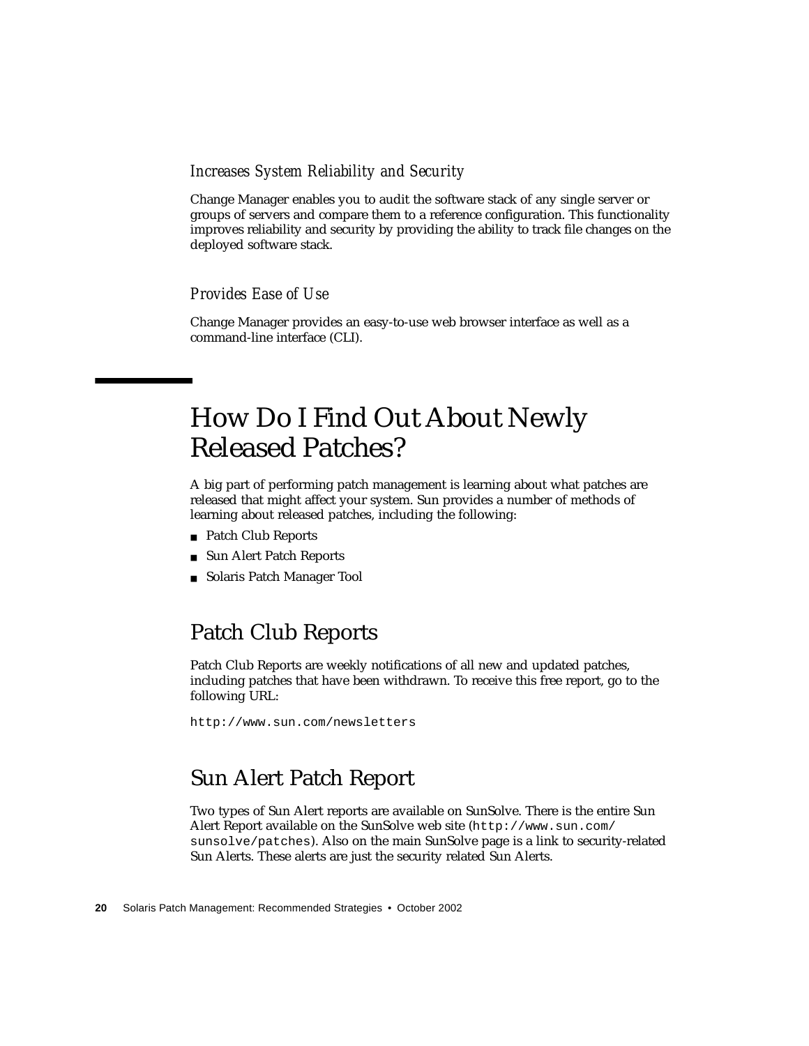#### *Increases System Reliability and Security*

Change Manager enables you to audit the software stack of any single server or groups of servers and compare them to a reference configuration. This functionality improves reliability and security by providing the ability to track file changes on the deployed software stack.

#### *Provides Ease of Use*

Change Manager provides an easy-to-use web browser interface as well as a command-line interface (CLI).

# How Do I Find Out About Newly Released Patches?

A big part of performing patch management is learning about what patches are released that might affect your system. Sun provides a number of methods of learning about released patches, including the following:

- Patch Club Reports
- Sun Alert Patch Reports
- Solaris Patch Manager Tool

### Patch Club Reports

Patch Club Reports are weekly notifications of all new and updated patches, including patches that have been withdrawn. To receive this free report, go to the following URL:

http://www.sun.com/newsletters

## Sun Alert Patch Report

Two types of Sun Alert reports are available on SunSolve. There is the entire Sun Alert Report available on the SunSolve web site (http://www.sun.com/ sunsolve/patches). Also on the main SunSolve page is a link to security-related Sun Alerts. These alerts are just the security related Sun Alerts.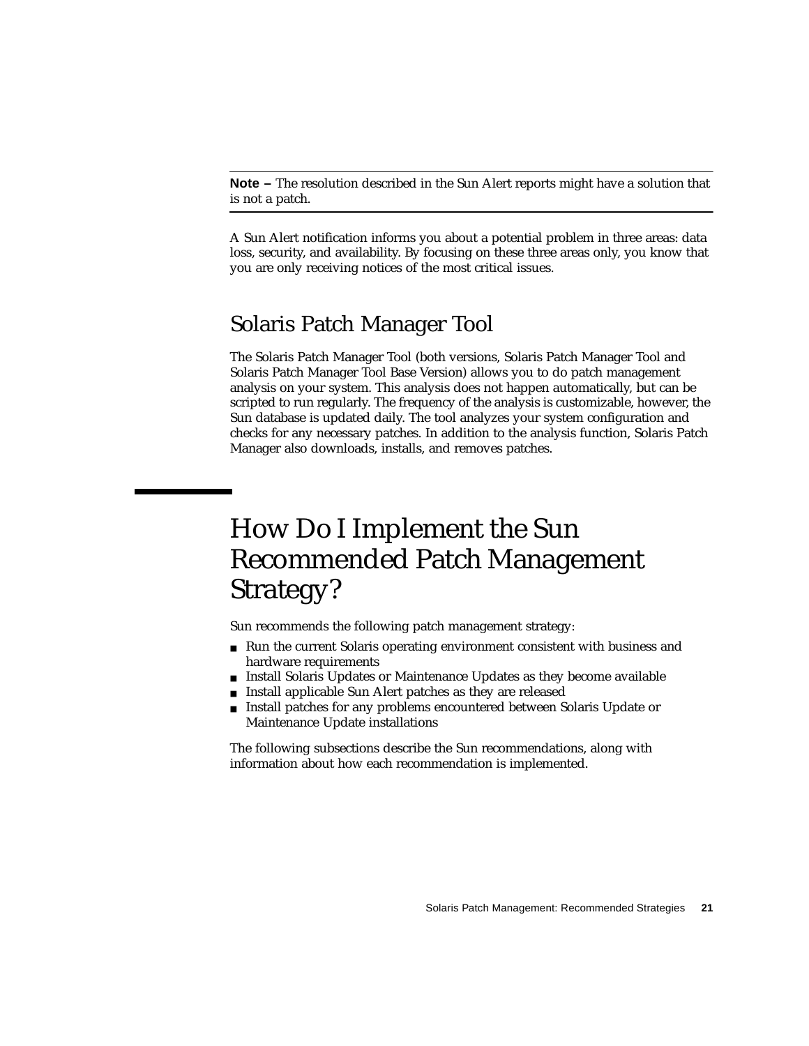**Note –** The resolution described in the Sun Alert reports might have a solution that is not a patch.

A Sun Alert notification informs you about a potential problem in three areas: data loss, security, and availability. By focusing on these three areas only, you know that you are only receiving notices of the most critical issues.

### Solaris Patch Manager Tool

The Solaris Patch Manager Tool (both versions, Solaris Patch Manager Tool and Solaris Patch Manager Tool Base Version) allows you to do patch management analysis on your system. This analysis does not happen automatically, but can be scripted to run regularly. The frequency of the analysis is customizable, however, the Sun database is updated daily. The tool analyzes your system configuration and checks for any necessary patches. In addition to the analysis function, Solaris Patch Manager also downloads, installs, and removes patches.

# How Do I Implement the Sun Recommended Patch Management Strategy?

Sun recommends the following patch management strategy:

- Run the current Solaris operating environment consistent with business and hardware requirements
- Install Solaris Updates or Maintenance Updates as they become available
- Install applicable Sun Alert patches as they are released
- Install patches for any problems encountered between Solaris Update or Maintenance Update installations

The following subsections describe the Sun recommendations, along with information about how each recommendation is implemented.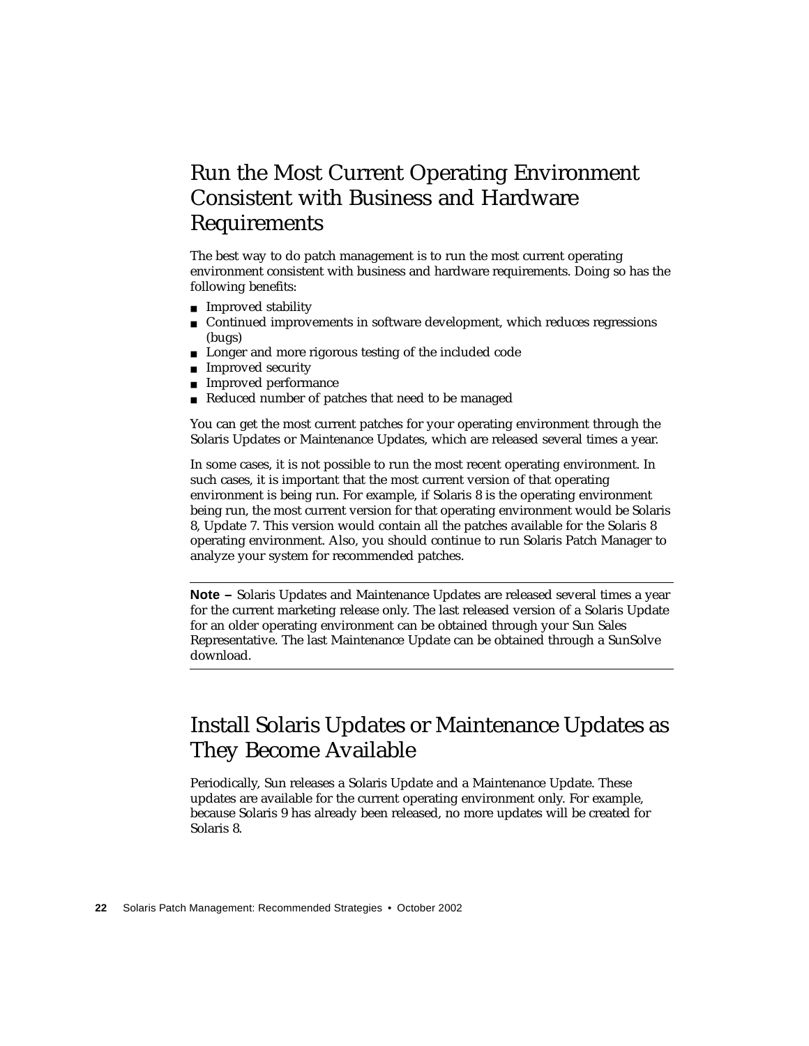# Run the Most Current Operating Environment Consistent with Business and Hardware Requirements

The best way to do patch management is to run the most current operating environment consistent with business and hardware requirements. Doing so has the following benefits:

- Improved stability
- Continued improvements in software development, which reduces regressions (bugs)
- Longer and more rigorous testing of the included code
- Improved security
- Improved performance
- Reduced number of patches that need to be managed

You can get the most current patches for your operating environment through the Solaris Updates or Maintenance Updates, which are released several times a year.

In some cases, it is not possible to run the most recent operating environment. In such cases, it is important that the most current version of that operating environment is being run. For example, if Solaris 8 is the operating environment being run, the most current version for that operating environment would be Solaris 8, Update 7. This version would contain all the patches available for the Solaris 8 operating environment. Also, you should continue to run Solaris Patch Manager to analyze your system for recommended patches.

**Note –** Solaris Updates and Maintenance Updates are released several times a year for the current marketing release only. The last released version of a Solaris Update for an older operating environment can be obtained through your Sun Sales Representative. The last Maintenance Update can be obtained through a SunSolve download.

## Install Solaris Updates or Maintenance Updates as They Become Available

Periodically, Sun releases a Solaris Update and a Maintenance Update. These updates are available for the current operating environment only. For example, because Solaris 9 has already been released, no more updates will be created for Solaris 8.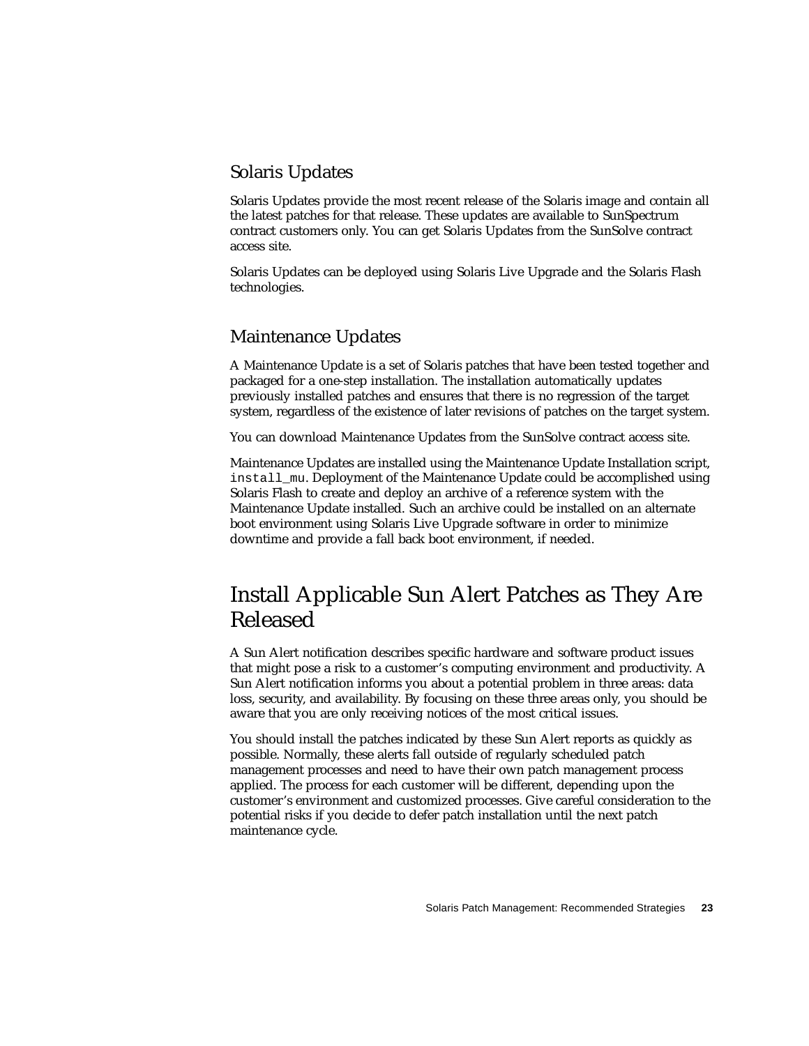#### Solaris Updates

Solaris Updates provide the most recent release of the Solaris image and contain all the latest patches for that release. These updates are available to SunSpectrum contract customers only. You can get Solaris Updates from the SunSolve contract access site.

Solaris Updates can be deployed using Solaris Live Upgrade and the Solaris Flash technologies.

#### Maintenance Updates

A Maintenance Update is a set of Solaris patches that have been tested together and packaged for a one-step installation. The installation automatically updates previously installed patches and ensures that there is no regression of the target system, regardless of the existence of later revisions of patches on the target system.

You can download Maintenance Updates from the SunSolve contract access site.

Maintenance Updates are installed using the Maintenance Update Installation script, install mu. Deployment of the Maintenance Update could be accomplished using Solaris Flash to create and deploy an archive of a reference system with the Maintenance Update installed. Such an archive could be installed on an alternate boot environment using Solaris Live Upgrade software in order to minimize downtime and provide a fall back boot environment, if needed.

# Install Applicable Sun Alert Patches as They Are Released

A Sun Alert notification describes specific hardware and software product issues that might pose a risk to a customer's computing environment and productivity. A Sun Alert notification informs you about a potential problem in three areas: data loss, security, and availability. By focusing on these three areas only, you should be aware that you are only receiving notices of the most critical issues.

You should install the patches indicated by these Sun Alert reports as quickly as possible. Normally, these alerts fall outside of regularly scheduled patch management processes and need to have their own patch management process applied. The process for each customer will be different, depending upon the customer's environment and customized processes. Give careful consideration to the potential risks if you decide to defer patch installation until the next patch maintenance cycle.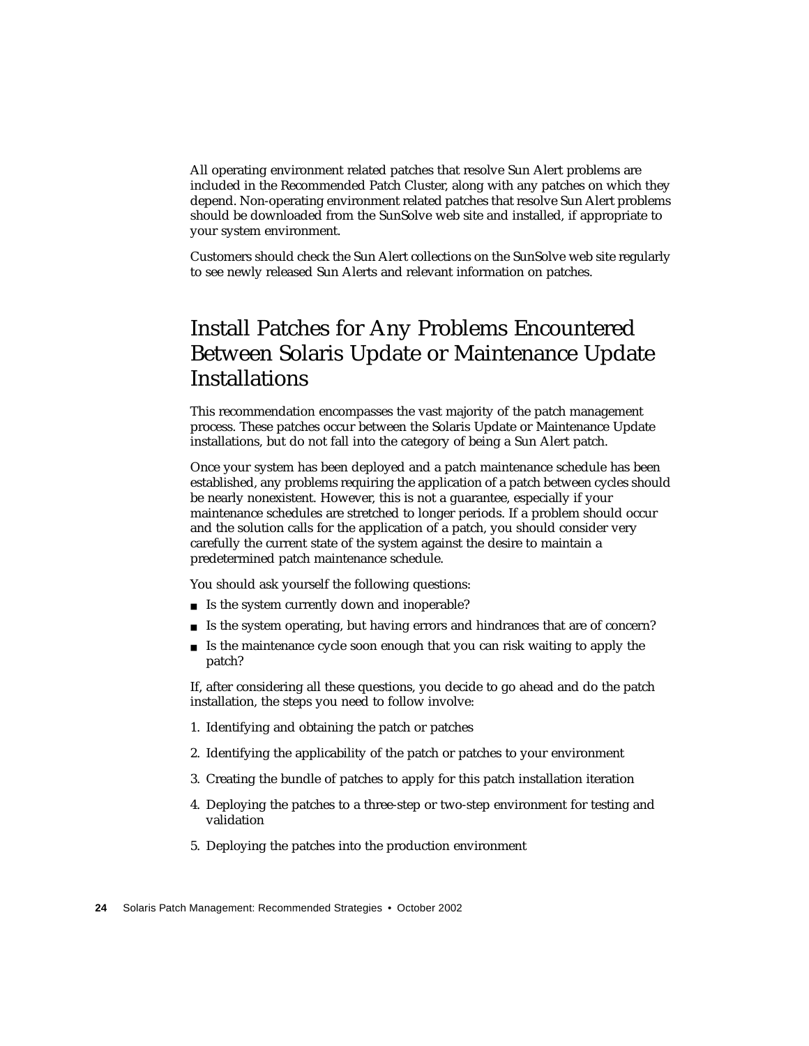All operating environment related patches that resolve Sun Alert problems are included in the Recommended Patch Cluster, along with any patches on which they depend. Non-operating environment related patches that resolve Sun Alert problems should be downloaded from the SunSolve web site and installed, if appropriate to your system environment.

Customers should check the Sun Alert collections on the SunSolve web site regularly to see newly released Sun Alerts and relevant information on patches.

# Install Patches for Any Problems Encountered Between Solaris Update or Maintenance Update Installations

This recommendation encompasses the vast majority of the patch management process. These patches occur between the Solaris Update or Maintenance Update installations, but do not fall into the category of being a Sun Alert patch.

Once your system has been deployed and a patch maintenance schedule has been established, any problems requiring the application of a patch between cycles should be nearly nonexistent. However, this is not a guarantee, especially if your maintenance schedules are stretched to longer periods. If a problem should occur and the solution calls for the application of a patch, you should consider very carefully the current state of the system against the desire to maintain a predetermined patch maintenance schedule.

You should ask yourself the following questions:

- Is the system currently down and inoperable?
- Is the system operating, but having errors and hindrances that are of concern?
- Is the maintenance cycle soon enough that you can risk waiting to apply the patch?

If, after considering all these questions, you decide to go ahead and do the patch installation, the steps you need to follow involve:

- 1. Identifying and obtaining the patch or patches
- 2. Identifying the applicability of the patch or patches to your environment
- 3. Creating the bundle of patches to apply for this patch installation iteration
- 4. Deploying the patches to a three-step or two-step environment for testing and validation
- 5. Deploying the patches into the production environment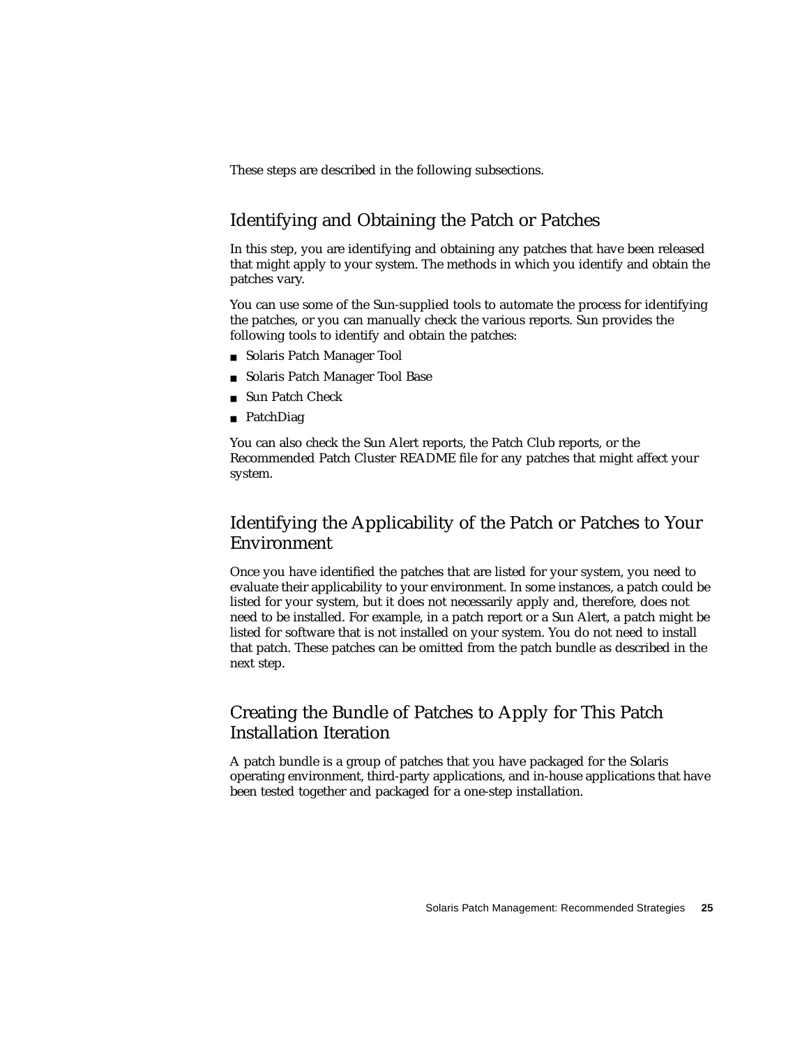These steps are described in the following subsections.

#### Identifying and Obtaining the Patch or Patches

In this step, you are identifying and obtaining any patches that have been released that might apply to your system. The methods in which you identify and obtain the patches vary.

You can use some of the Sun-supplied tools to automate the process for identifying the patches, or you can manually check the various reports. Sun provides the following tools to identify and obtain the patches:

- Solaris Patch Manager Tool
- Solaris Patch Manager Tool Base
- Sun Patch Check
- PatchDiag

You can also check the Sun Alert reports, the Patch Club reports, or the Recommended Patch Cluster README file for any patches that might affect your system.

#### Identifying the Applicability of the Patch or Patches to Your Environment

Once you have identified the patches that are listed for your system, you need to evaluate their applicability to your environment. In some instances, a patch could be listed for your system, but it does not necessarily apply and, therefore, does not need to be installed. For example, in a patch report or a Sun Alert, a patch might be listed for software that is not installed on your system. You do not need to install that patch. These patches can be omitted from the patch bundle as described in the next step.

#### Creating the Bundle of Patches to Apply for This Patch Installation Iteration

A patch bundle is a group of patches that you have packaged for the Solaris operating environment, third-party applications, and in-house applications that have been tested together and packaged for a one-step installation.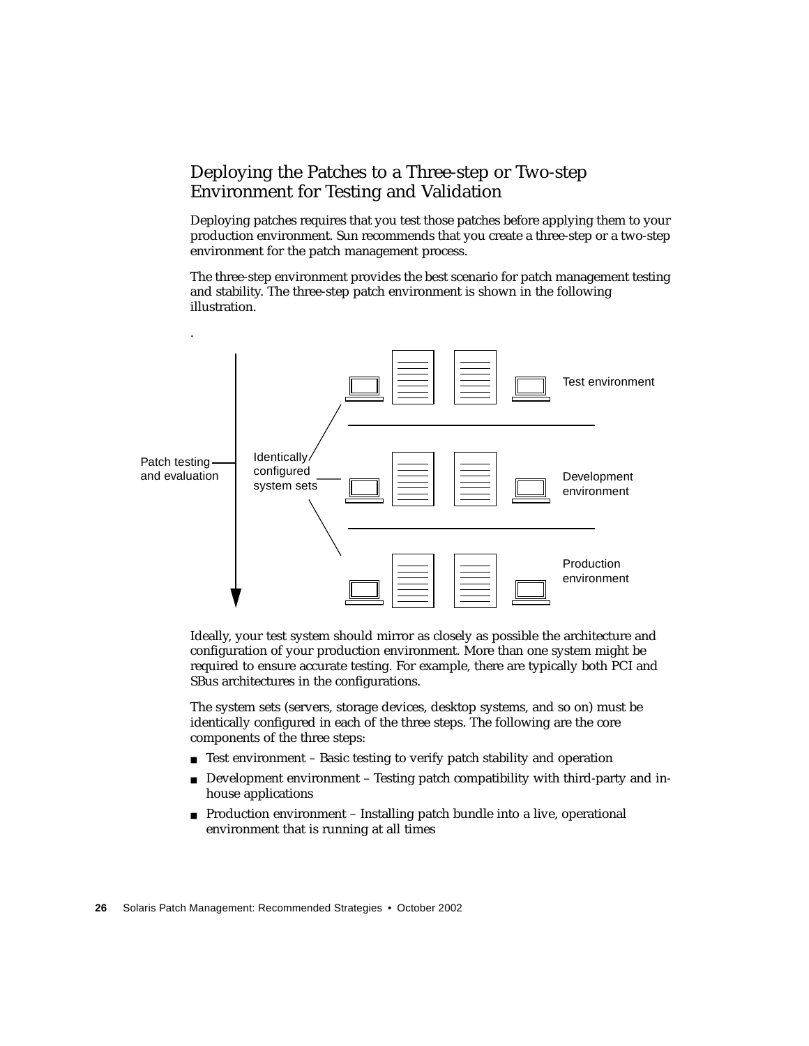### Deploying the Patches to a Three-step or Two-step Environment for Testing and Validation

Deploying patches requires that you test those patches before applying them to your production environment. Sun recommends that you create a three-step or a two-step environment for the patch management process.

The three-step environment provides the best scenario for patch management testing and stability. The three-step patch environment is shown in the following illustration.



Ideally, your test system should mirror as closely as possible the architecture and configuration of your production environment. More than one system might be required to ensure accurate testing. For example, there are typically both PCI and SBus architectures in the configurations.

The system sets (servers, storage devices, desktop systems, and so on) must be identically configured in each of the three steps. The following are the core components of the three steps:

- Test environment Basic testing to verify patch stability and operation
- Development environment Testing patch compatibility with third-party and inhouse applications
- Production environment Installing patch bundle into a live, operational environment that is running at all times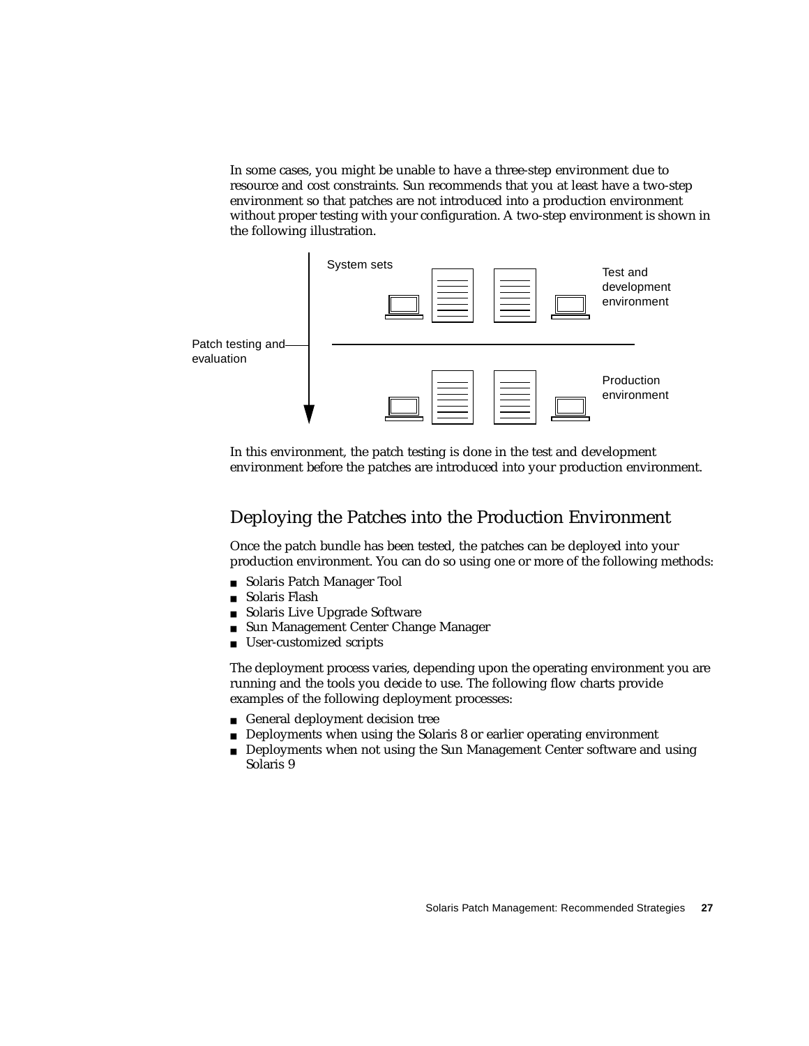In some cases, you might be unable to have a three-step environment due to resource and cost constraints. Sun recommends that you at least have a two-step environment so that patches are not introduced into a production environment without proper testing with your configuration. A two-step environment is shown in the following illustration.



In this environment, the patch testing is done in the test and development environment before the patches are introduced into your production environment.

#### Deploying the Patches into the Production Environment

Once the patch bundle has been tested, the patches can be deployed into your production environment. You can do so using one or more of the following methods:

- Solaris Patch Manager Tool
- Solaris Flash
- Solaris Live Upgrade Software
- Sun Management Center Change Manager
- User-customized scripts

The deployment process varies, depending upon the operating environment you are running and the tools you decide to use. The following flow charts provide examples of the following deployment processes:

- General deployment decision tree
- Deployments when using the Solaris 8 or earlier operating environment
- Deployments when not using the Sun Management Center software and using Solaris 9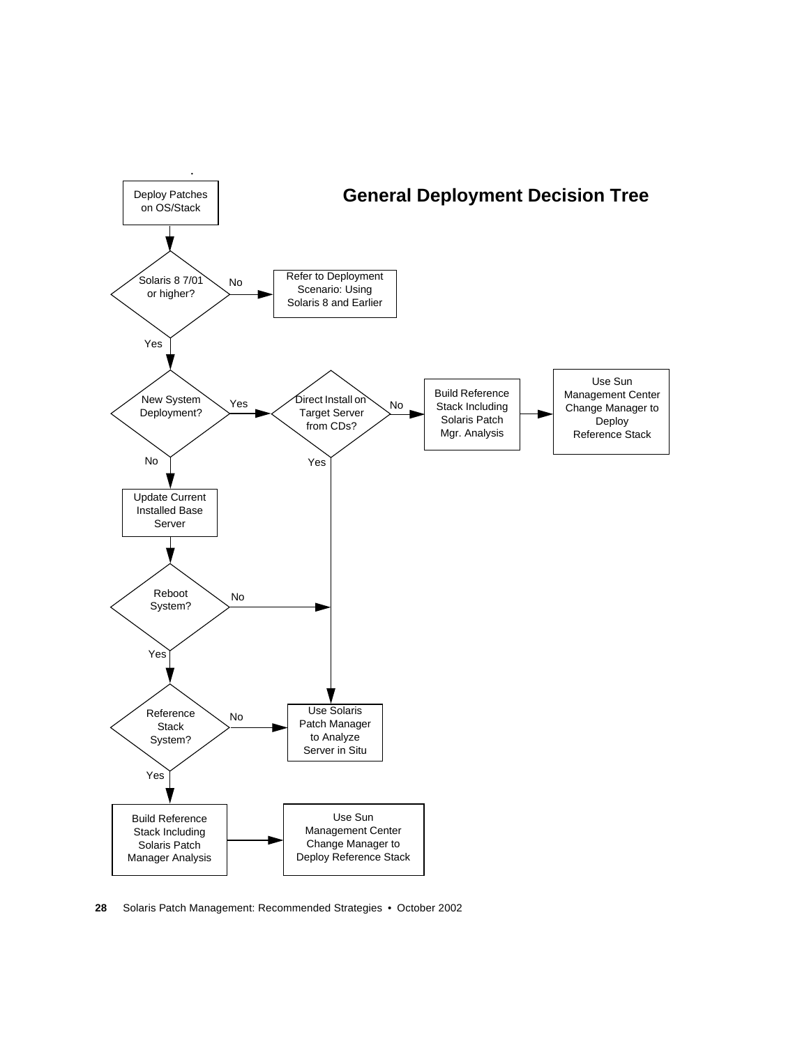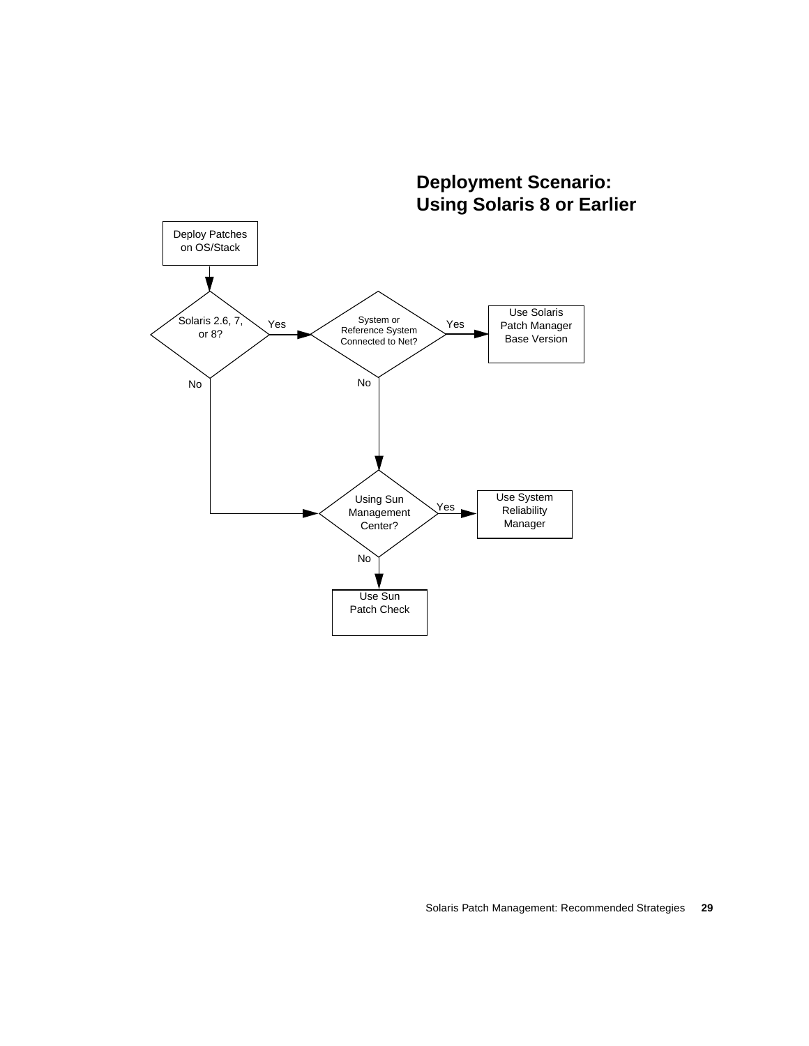

### **Deployment Scenario: Using Solaris 8 or Earlier**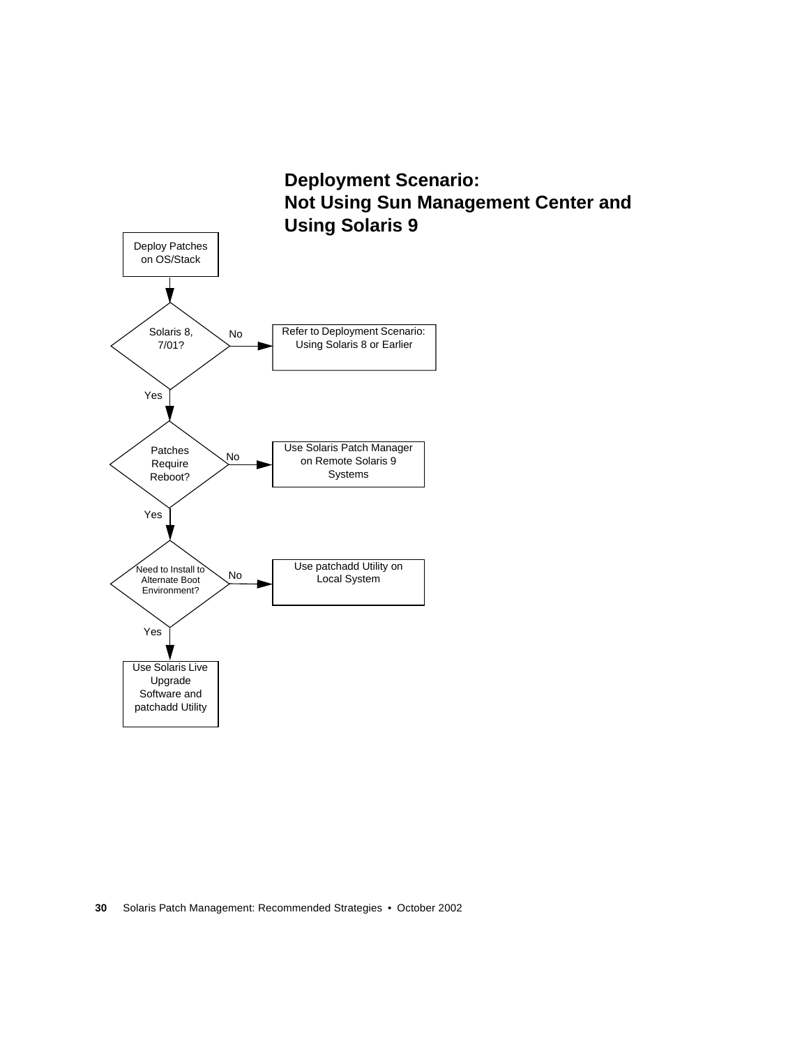### **Deployment Scenario: Not Using Sun Management Center and Using Solaris 9**